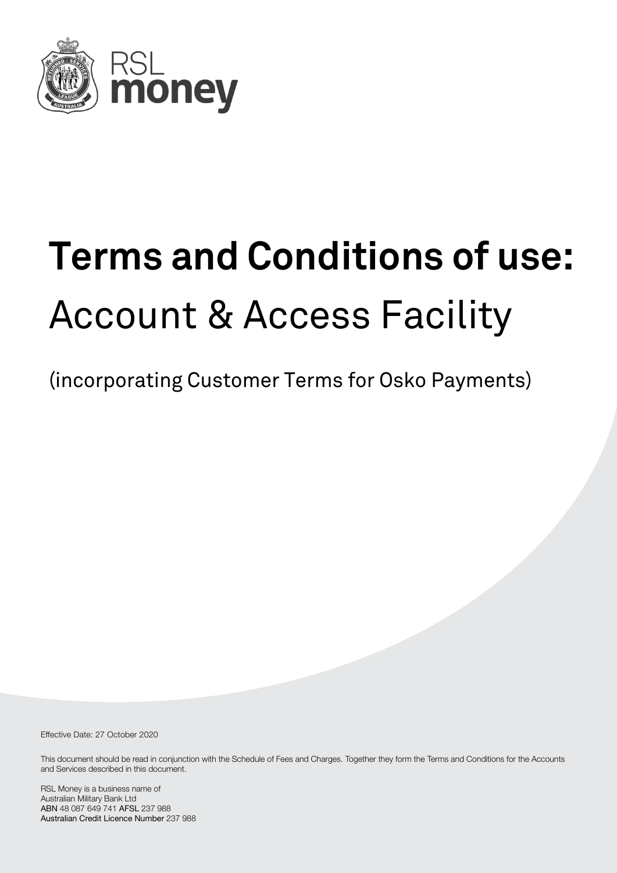

# **Terms and Conditions of use:** Account & Access Facility

(incorporating Customer Terms for Osko Payments)

Effective Date: 27 October 2020

This document should be read in conjunction with the Schedule of Fees and Charges. Together they form the Terms and Conditions for the Accounts and Services described in this document.

RSL Money is a business name of Australian Military Bank Ltd ABN 48 087 649 741 AFSL 237 988 Australian Credit Licence Number 237 988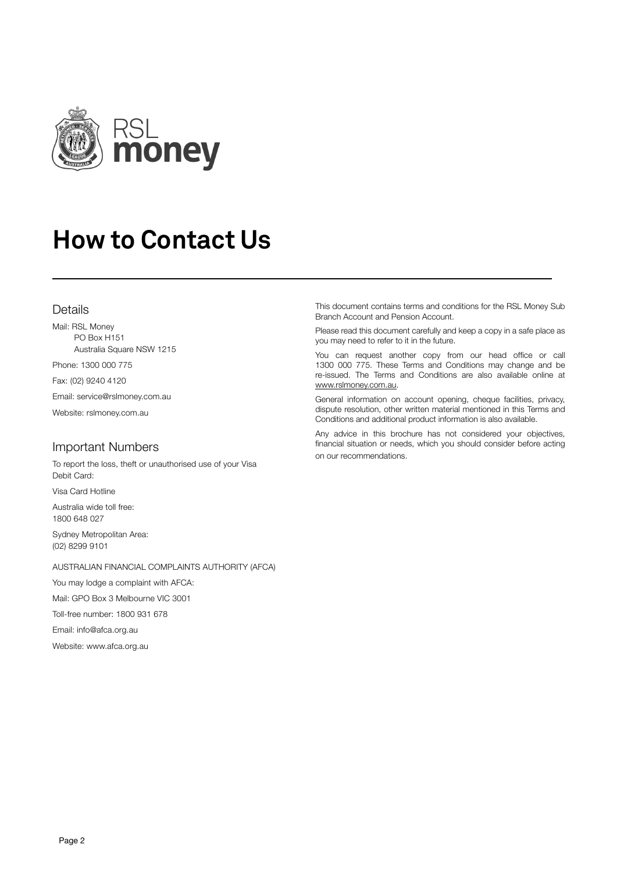

# **How to Contact Us**

#### Details

Mail: RSL Money PO Box H151 Australia Square NSW 1215

Phone: 1300 000 775

Fax: (02) 9240 4120

Email: service@rslmoney.com.au

Website: rslmoney.com.au

#### Important Numbers

To report the loss, theft or unauthorised use of your Visa Debit Card:

Visa Card Hotline

Australia wide toll free: 1800 648 027

Sydney Metropolitan Area: (02) 8299 9101

AUSTRALIAN FINANCIAL COMPLAINTS AUTHORITY (AFCA)

You may lodge a complaint with AFCA:

Mail: GPO Box 3 Melbourne VIC 3001

Toll-free number: 1800 931 678

Email: info@afca.org.au

Website: www.afca.org.au

This document contains terms and conditions for the RSL Money Sub Branch Account and Pension Account.

Please read this document carefully and keep a copy in a safe place as you may need to refer to it in the future.

You can request another copy from our head office or call 1300 000 775. These Terms and Conditions may change and be re-issued. The Terms and Conditions are also available online at www.rslmoney.com.au.

General information on account opening, cheque facilities, privacy, dispute resolution, other written material mentioned in this Terms and Conditions and additional product information is also available.

Any advice in this brochure has not considered your objectives, financial situation or needs, which you should consider before acting on our recommendations.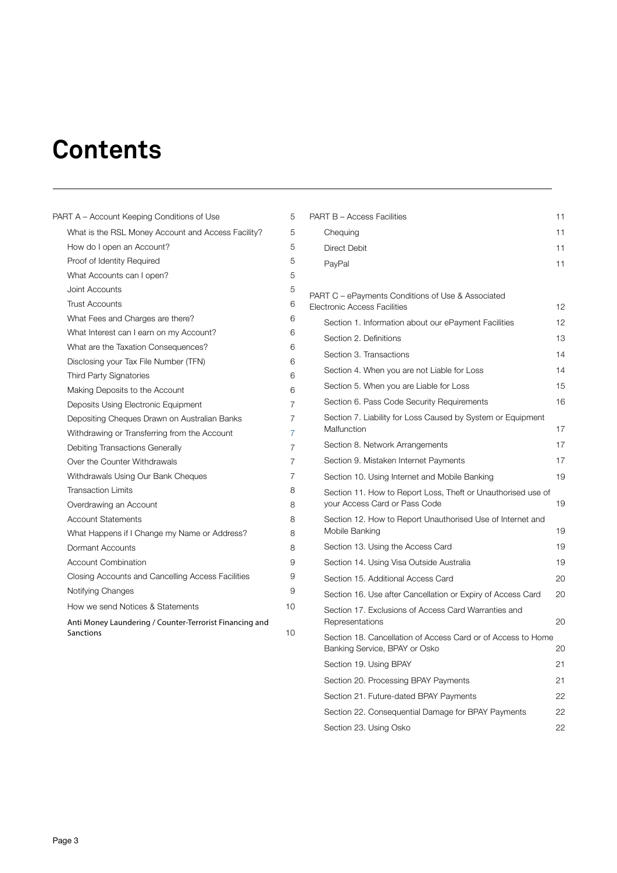## **Contents**

| PART A - Account Keeping Conditions of Use                           | 5  |
|----------------------------------------------------------------------|----|
| What is the RSL Money Account and Access Facility?                   | 5  |
| How do I open an Account?                                            | 5  |
| Proof of Identity Required                                           | 5  |
| What Accounts can I open?                                            | 5  |
| Joint Accounts                                                       | 5  |
| <b>Trust Accounts</b>                                                | 6  |
| What Fees and Charges are there?                                     | 6  |
| What Interest can I earn on my Account?                              | 6  |
| What are the Taxation Consequences?                                  | 6  |
| Disclosing your Tax File Number (TFN)                                | 6  |
| <b>Third Party Signatories</b>                                       | 6  |
| Making Deposits to the Account                                       | 6  |
| Deposits Using Electronic Equipment                                  | 7  |
| Depositing Cheques Drawn on Australian Banks                         | 7  |
| Withdrawing or Transferring from the Account                         | 7  |
| Debiting Transactions Generally                                      | 7  |
| Over the Counter Withdrawals                                         | 7  |
| Withdrawals Using Our Bank Cheques                                   | 7  |
| <b>Transaction Limits</b>                                            | 8  |
| Overdrawing an Account                                               | 8  |
| <b>Account Statements</b>                                            | 8  |
| What Happens if I Change my Name or Address?                         | 8  |
| Dormant Accounts                                                     | 8  |
| <b>Account Combination</b>                                           | 9  |
| Closing Accounts and Cancelling Access Facilities                    | 9  |
| Notifying Changes                                                    | 9  |
| How we send Notices & Statements                                     | 10 |
| Anti Money Laundering / Counter-Terrorist Financing and<br>Sanctions | 10 |

| <b>PART B - Access Facilities</b>                                                             | 11 |
|-----------------------------------------------------------------------------------------------|----|
| Chequing                                                                                      | 11 |
| <b>Direct Debit</b>                                                                           | 11 |
| PayPal                                                                                        | 11 |
|                                                                                               |    |
| PART C - ePayments Conditions of Use & Associated<br>Electronic Access Facilities             | 12 |
| Section 1. Information about our ePayment Facilities                                          | 12 |
| Section 2. Definitions                                                                        | 13 |
| Section 3. Transactions                                                                       | 14 |
| Section 4. When you are not Liable for Loss                                                   | 14 |
| Section 5. When you are Liable for Loss                                                       | 15 |
| Section 6. Pass Code Security Requirements                                                    | 16 |
| Section 7. Liability for Loss Caused by System or Equipment<br>Malfunction                    | 17 |
| Section 8. Network Arrangements                                                               | 17 |
| Section 9. Mistaken Internet Payments                                                         | 17 |
| Section 10. Using Internet and Mobile Banking                                                 | 19 |
| Section 11. How to Report Loss, Theft or Unauthorised use of<br>your Access Card or Pass Code | 19 |
| Section 12. How to Report Unauthorised Use of Internet and<br>Mobile Banking                  | 19 |
| Section 13. Using the Access Card                                                             | 19 |
| Section 14. Using Visa Outside Australia                                                      | 19 |
| Section 15, Additional Access Card                                                            | 20 |
| Section 16. Use after Cancellation or Expiry of Access Card                                   | 20 |
| Section 17. Exclusions of Access Card Warranties and<br>Representations                       | 20 |
| Section 18. Cancellation of Access Card or of Access to Home<br>Banking Service, BPAY or Osko | 20 |
| Section 19. Using BPAY                                                                        | 21 |
| Section 20. Processing BPAY Payments                                                          | 21 |
| Section 21. Future-dated BPAY Payments                                                        | 22 |
| Section 22. Consequential Damage for BPAY Payments                                            | 22 |
| Section 23. Using Osko                                                                        | 22 |
|                                                                                               |    |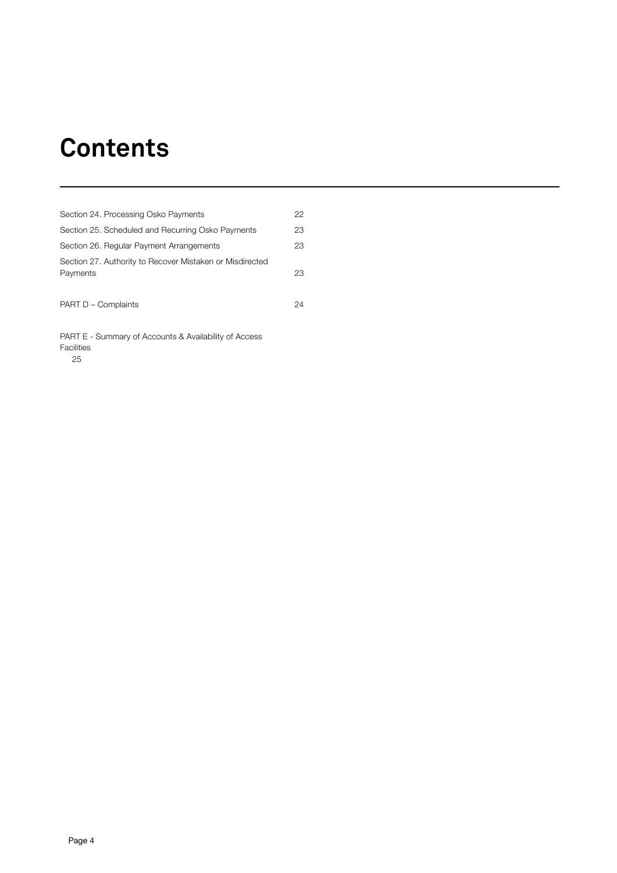### **Contents**

| Section 24. Processing Osko Payments                                 | 22 |
|----------------------------------------------------------------------|----|
| Section 25. Scheduled and Recurring Osko Payments                    | 23 |
| Section 26. Regular Payment Arrangements                             | 23 |
| Section 27. Authority to Recover Mistaken or Misdirected<br>Payments | 23 |
| PART D - Complaints                                                  | 24 |

PART E - Summary of Accounts & Availability of Access Facilities  $25$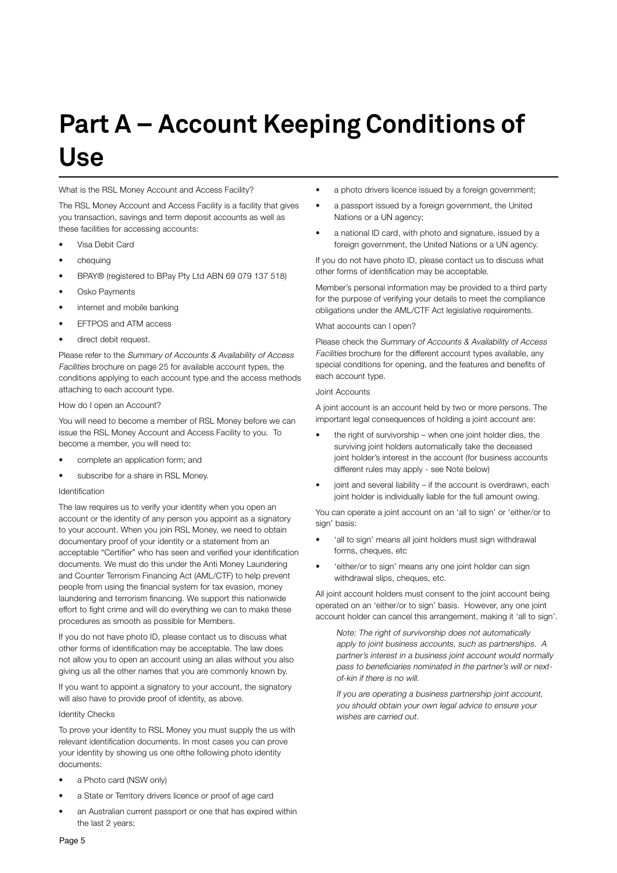# **Part A – Account Keeping Conditions of Use**

What is the RSL Money Account and Access Facility?

The RSL Money Account and Access Facility is a facility that gives you transaction, savings and term deposit accounts as well as these facilities for accessing accounts:

- Visa Debit Card
- chequing
- BPAY® (registered to BPay Pty Ltd ABN 69 079 137 518)
- Osko Payments
- internet and mobile banking
- EFTPOS and ATM access
- direct debit request.

Please refer to the Summary of Accounts & Availability of Access Facilities brochure on page 25 for available account types, the conditions applying to each account type and the access methods attaching to each account type.

How do I open an Account?

You will need to become a member of RSL Money before we can issue the RSL Money Account and Access Facility to you. To become a member, you will need to:

- complete an application form; and
- subscribe for a share in RSL Money.

#### Identification

The law requires us to verify your identity when you open an account or the identity of any person you appoint as a signatory to your account. When you join RSL Money, we need to obtain documentary proof of your identity or a statement from an acceptable "Certifier" who has seen and verified your identification documents. We must do this under the Anti Money Laundering and Counter Terrorism Financing Act (AML/CTF) to help prevent people from using the financial system for tax evasion, money laundering and terrorism financing. We support this nationwide effort to fight crime and will do everything we can to make these procedures as smooth as possible for Members.

If you do not have photo ID, please contact us to discuss what other forms of identification may be acceptable. The law does not allow you to open an account using an alias without you also giving us all the other names that you are commonly known by.

If you want to appoint a signatory to your account, the signatory will also have to provide proof of identity, as above.

#### Identity Checks

To prove your identity to RSL Money you must supply the us with relevant identification documents. In most cases you can prove your identity by showing us one ofthe following photo identity documents:

- a Photo card (NSW only)
- a State or Territory drivers licence or proof of age card
- an Australian current passport or one that has expired within the last 2 years;
- a photo drivers licence issued by a foreign government:
- a passport issued by a foreign government, the United Nations or a UN agency;
- a national ID card, with photo and signature, issued by a foreign government, the United Nations or a UN agency.

If you do not have photo ID, please contact us to discuss what other forms of identification may be acceptable.

Member's personal information may be provided to a third party for the purpose of verifying your details to meet the compliance obligations under the AML/CTF Act legislative requirements.

#### What accounts can I open?

Please check the Summary of Accounts & Availability of Access Facilities brochure for the different account types available, any special conditions for opening, and the features and benefits of each account type.

#### Joint Accounts

A joint account is an account held by two or more persons. The important legal consequences of holding a joint account are:

- the right of survivorship when one joint holder dies, the surviving joint holders automatically take the deceased joint holder's interest in the account (for business accounts different rules may apply - see Note below)
- joint and several liability if the account is overdrawn, each joint holder is individually liable for the full amount owing.

You can operate a joint account on an 'all to sign' or 'either/or to sign' basis:

- 'all to sign' means all joint holders must sign withdrawal forms, cheques, etc
- 'either/or to sign' means any one joint holder can sign withdrawal slips, cheques, etc.

All joint account holders must consent to the joint account being operated on an 'either/or to sign' basis. However, any one joint account holder can cancel this arrangement, making it 'all to sign'.

Note: The right of survivorship does not automatically apply to joint business accounts, such as partnerships. A partner's interest in a business joint account would normally pass to beneficiaries nominated in the partner's will or nextof-kin if there is no will.

If you are operating a business partnership joint account, you should obtain your own legal advice to ensure your wishes are carried out.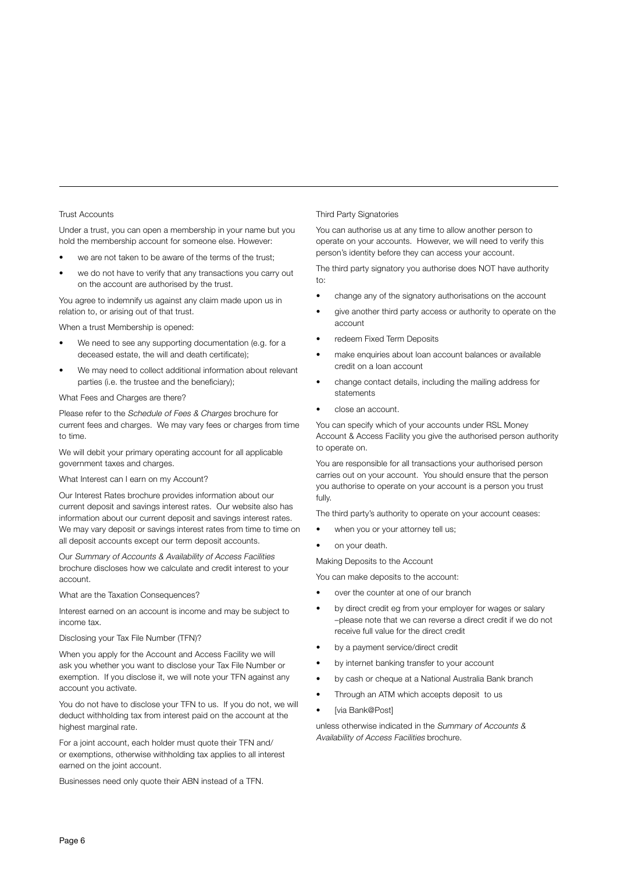#### Trust Accounts

Under a trust, you can open a membership in your name but you hold the membership account for someone else. However:

- we are not taken to be aware of the terms of the trust;
- we do not have to verify that any transactions you carry out on the account are authorised by the trust.

You agree to indemnify us against any claim made upon us in relation to, or arising out of that trust.

When a trust Membership is opened:

- We need to see any supporting documentation (e.g. for a deceased estate, the will and death certificate);
- We may need to collect additional information about relevant parties (i.e. the trustee and the beneficiary);

What Fees and Charges are there?

Please refer to the Schedule of Fees & Charges brochure for current fees and charges. We may vary fees or charges from time to time.

We will debit your primary operating account for all applicable government taxes and charges.

What Interest can I earn on my Account?

Our Interest Rates brochure provides information about our current deposit and savings interest rates. Our website also has information about our current deposit and savings interest rates. We may vary deposit or savings interest rates from time to time on all deposit accounts except our term deposit accounts.

Our Summary of Accounts & Availability of Access Facilities brochure discloses how we calculate and credit interest to your account.

What are the Taxation Consequences?

Interest earned on an account is income and may be subject to income tax.

Disclosing your Tax File Number (TFN)?

When you apply for the Account and Access Facility we will ask you whether you want to disclose your Tax File Number or exemption. If you disclose it, we will note your TFN against any account you activate.

You do not have to disclose your TFN to us. If you do not, we will deduct withholding tax from interest paid on the account at the highest marginal rate.

For a joint account, each holder must quote their TFN and/ or exemptions, otherwise withholding tax applies to all interest earned on the joint account.

Businesses need only quote their ABN instead of a TFN.

#### Third Party Signatories

You can authorise us at any time to allow another person to operate on your accounts. However, we will need to verify this person's identity before they can access your account.

The third party signatory you authorise does NOT have authority to:

- change any of the signatory authorisations on the account
- give another third party access or authority to operate on the account
- redeem Fixed Term Deposits
- make enquiries about loan account balances or available credit on a loan account
- change contact details, including the mailing address for statements
- close an account.

You can specify which of your accounts under RSL Money Account & Access Facility you give the authorised person authority to operate on.

You are responsible for all transactions your authorised person carries out on your account. You should ensure that the person you authorise to operate on your account is a person you trust fully.

The third party's authority to operate on your account ceases:

- when you or your attorney tell us;
- on your death.

Making Deposits to the Account

You can make deposits to the account:

- over the counter at one of our branch
- by direct credit eg from your employer for wages or salary –please note that we can reverse a direct credit if we do not receive full value for the direct credit
- by a payment service/direct credit
- by internet banking transfer to your account
- by cash or cheque at a National Australia Bank branch
- Through an ATM which accepts deposit to us
- [via Bank@Post]

unless otherwise indicated in the Summary of Accounts & Availability of Access Facilities brochure.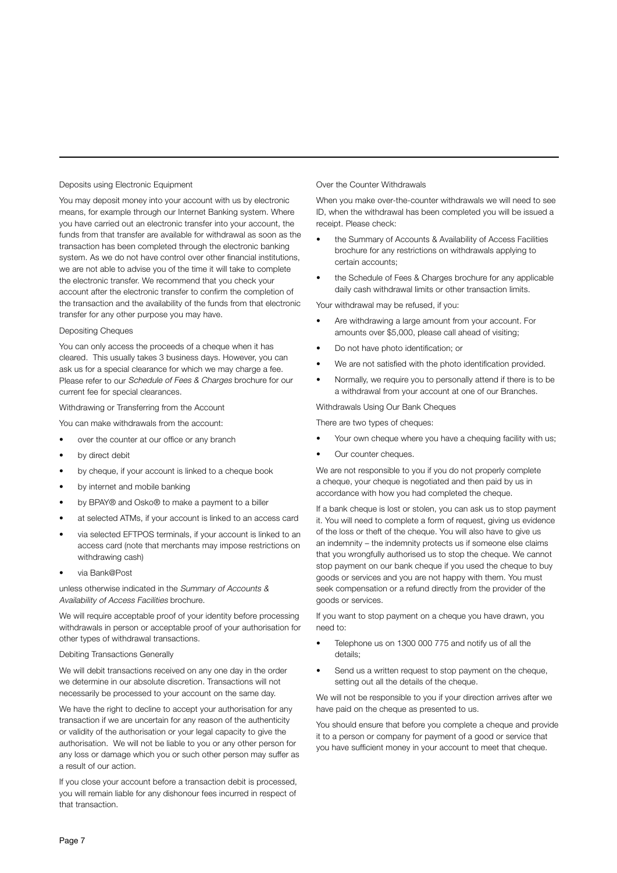#### Deposits using Electronic Equipment

You may deposit money into your account with us by electronic means, for example through our Internet Banking system. Where you have carried out an electronic transfer into your account, the funds from that transfer are available for withdrawal as soon as the transaction has been completed through the electronic banking system. As we do not have control over other financial institutions, we are not able to advise you of the time it will take to complete the electronic transfer. We recommend that you check your account after the electronic transfer to confirm the completion of the transaction and the availability of the funds from that electronic transfer for any other purpose you may have.

#### Depositing Cheques

You can only access the proceeds of a cheque when it has cleared. This usually takes 3 business days. However, you can ask us for a special clearance for which we may charge a fee. Please refer to our Schedule of Fees & Charges brochure for our current fee for special clearances.

#### Withdrawing or Transferring from the Account

You can make withdrawals from the account:

- over the counter at our office or any branch
- by direct debit
- by cheque, if your account is linked to a cheque book
- by internet and mobile banking
- by BPAY® and Osko® to make a payment to a biller
- at selected ATMs, if your account is linked to an access card
- via selected EFTPOS terminals, if your account is linked to an access card (note that merchants may impose restrictions on withdrawing cash)
- via Bank@Post

unless otherwise indicated in the Summary of Accounts & Availability of Access Facilities brochure.

We will require acceptable proof of your identity before processing withdrawals in person or acceptable proof of your authorisation for other types of withdrawal transactions.

#### Debiting Transactions Generally

We will debit transactions received on any one day in the order we determine in our absolute discretion. Transactions will not necessarily be processed to your account on the same day.

We have the right to decline to accept your authorisation for any transaction if we are uncertain for any reason of the authenticity or validity of the authorisation or your legal capacity to give the authorisation. We will not be liable to you or any other person for any loss or damage which you or such other person may suffer as a result of our action.

If you close your account before a transaction debit is processed, you will remain liable for any dishonour fees incurred in respect of that transaction.

#### Over the Counter Withdrawals

When you make over-the-counter withdrawals we will need to see ID, when the withdrawal has been completed you will be issued a receipt. Please check:

- the Summary of Accounts & Availability of Access Facilities brochure for any restrictions on withdrawals applying to certain accounts;
- the Schedule of Fees & Charges brochure for any applicable daily cash withdrawal limits or other transaction limits.

Your withdrawal may be refused, if you:

- Are withdrawing a large amount from your account. For amounts over \$5,000, please call ahead of visiting;
- Do not have photo identification; or
- We are not satisfied with the photo identification provided.
- Normally, we require you to personally attend if there is to be a withdrawal from your account at one of our Branches.

Withdrawals Using Our Bank Cheques

There are two types of cheques:

- Your own cheque where you have a chequing facility with us;
- Our counter cheques.

We are not responsible to you if you do not properly complete a cheque, your cheque is negotiated and then paid by us in accordance with how you had completed the cheque.

If a bank cheque is lost or stolen, you can ask us to stop payment it. You will need to complete a form of request, giving us evidence of the loss or theft of the cheque. You will also have to give us an indemnity – the indemnity protects us if someone else claims that you wrongfully authorised us to stop the cheque. We cannot stop payment on our bank cheque if you used the cheque to buy goods or services and you are not happy with them. You must seek compensation or a refund directly from the provider of the goods or services.

If you want to stop payment on a cheque you have drawn, you need to:

- Telephone us on 1300 000 775 and notify us of all the details;
- Send us a written request to stop payment on the cheque, setting out all the details of the cheque.

We will not be responsible to you if your direction arrives after we have paid on the cheque as presented to us.

You should ensure that before you complete a cheque and provide it to a person or company for payment of a good or service that you have sufficient money in your account to meet that cheque.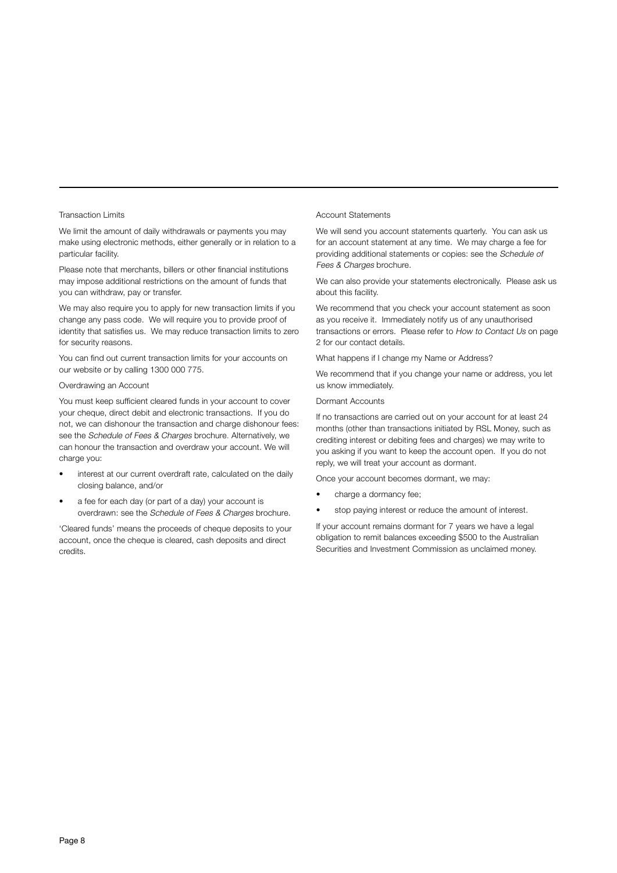#### Transaction Limits

We limit the amount of daily withdrawals or payments you may make using electronic methods, either generally or in relation to a particular facility.

Please note that merchants, billers or other financial institutions may impose additional restrictions on the amount of funds that you can withdraw, pay or transfer.

We may also require you to apply for new transaction limits if you change any pass code. We will require you to provide proof of identity that satisfies us. We may reduce transaction limits to zero for security reasons.

You can find out current transaction limits for your accounts on our website or by calling 1300 000 775.

#### Overdrawing an Account

You must keep sufficient cleared funds in your account to cover your cheque, direct debit and electronic transactions. If you do not, we can dishonour the transaction and charge dishonour fees: see the Schedule of Fees & Charges brochure. Alternatively, we can honour the transaction and overdraw your account. We will charge you:

- interest at our current overdraft rate, calculated on the daily closing balance, and/or
- a fee for each day (or part of a day) your account is overdrawn: see the Schedule of Fees & Charges brochure.

'Cleared funds' means the proceeds of cheque deposits to your account, once the cheque is cleared, cash deposits and direct credits.

#### Account Statements

We will send you account statements quarterly. You can ask us for an account statement at any time. We may charge a fee for providing additional statements or copies: see the Schedule of Fees & Charges brochure.

We can also provide your statements electronically. Please ask us about this facility.

We recommend that you check your account statement as soon as you receive it. Immediately notify us of any unauthorised transactions or errors. Please refer to How to Contact Us on page 2 for our contact details.

What happens if I change my Name or Address?

We recommend that if you change your name or address, you let us know immediately.

#### Dormant Accounts

If no transactions are carried out on your account for at least 24 months (other than transactions initiated by RSL Money, such as crediting interest or debiting fees and charges) we may write to you asking if you want to keep the account open. If you do not reply, we will treat your account as dormant.

Once your account becomes dormant, we may:

- charge a dormancy fee;
- stop paying interest or reduce the amount of interest.

If your account remains dormant for 7 years we have a legal obligation to remit balances exceeding \$500 to the Australian Securities and Investment Commission as unclaimed money.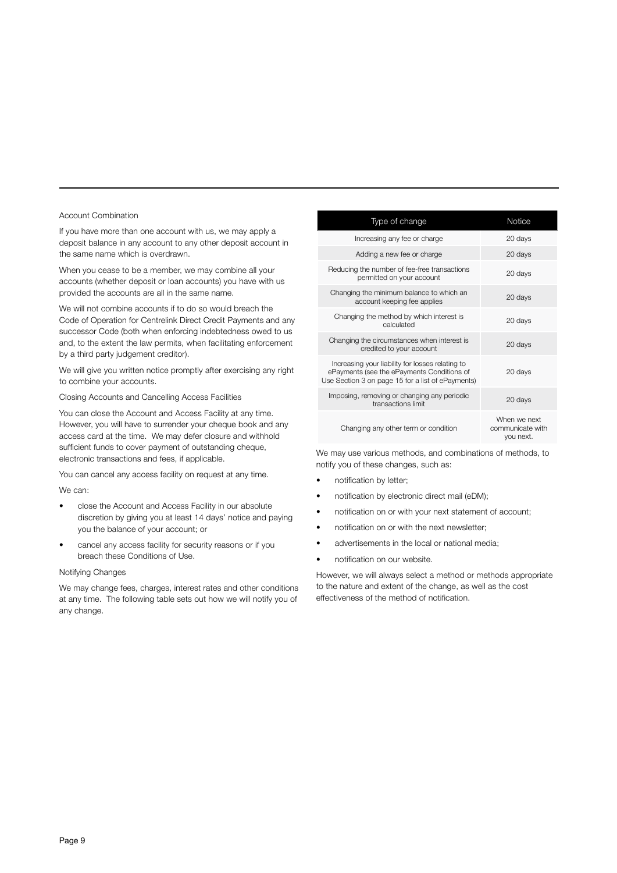#### Account Combination

If you have more than one account with us, we may apply a deposit balance in any account to any other deposit account in the same name which is overdrawn.

When you cease to be a member, we may combine all your accounts (whether deposit or loan accounts) you have with us provided the accounts are all in the same name.

We will not combine accounts if to do so would breach the Code of Operation for Centrelink Direct Credit Payments and any successor Code (both when enforcing indebtedness owed to us and, to the extent the law permits, when facilitating enforcement by a third party judgement creditor).

We will give you written notice promptly after exercising any right to combine your accounts.

Closing Accounts and Cancelling Access Facilities

You can close the Account and Access Facility at any time. However, you will have to surrender your cheque book and any access card at the time. We may defer closure and withhold sufficient funds to cover payment of outstanding cheque, electronic transactions and fees, if applicable.

You can cancel any access facility on request at any time.

#### We can:

- close the Account and Access Facility in our absolute discretion by giving you at least 14 days' notice and paying you the balance of your account; or
- cancel any access facility for security reasons or if you breach these Conditions of Use.

#### Notifying Changes

We may change fees, charges, interest rates and other conditions at any time. The following table sets out how we will notify you of any change.

| Type of change                                                                                                                                      | <b>Notice</b>                                 |
|-----------------------------------------------------------------------------------------------------------------------------------------------------|-----------------------------------------------|
| Increasing any fee or charge                                                                                                                        | 20 days                                       |
| Adding a new fee or charge                                                                                                                          | 20 days                                       |
| Reducing the number of fee-free transactions<br>permitted on your account                                                                           | 20 days                                       |
| Changing the minimum balance to which an<br>account keeping fee applies                                                                             | 20 days                                       |
| Changing the method by which interest is<br>calculated                                                                                              | 20 days                                       |
| Changing the circumstances when interest is<br>credited to your account                                                                             | 20 days                                       |
| Increasing your liability for losses relating to<br>ePayments (see the ePayments Conditions of<br>Use Section 3 on page 15 for a list of ePayments) | 20 days                                       |
| Imposing, removing or changing any periodic<br>transactions limit                                                                                   | 20 days                                       |
| Changing any other term or condition                                                                                                                | When we next<br>communicate with<br>you next. |

We may use various methods, and combinations of methods, to notify you of these changes, such as:

- notification by letter;
- notification by electronic direct mail (eDM);
- notification on or with your next statement of account;
- notification on or with the next newsletter;
- advertisements in the local or national media;
- notification on our website.

However, we will always select a method or methods appropriate to the nature and extent of the change, as well as the cost effectiveness of the method of notification.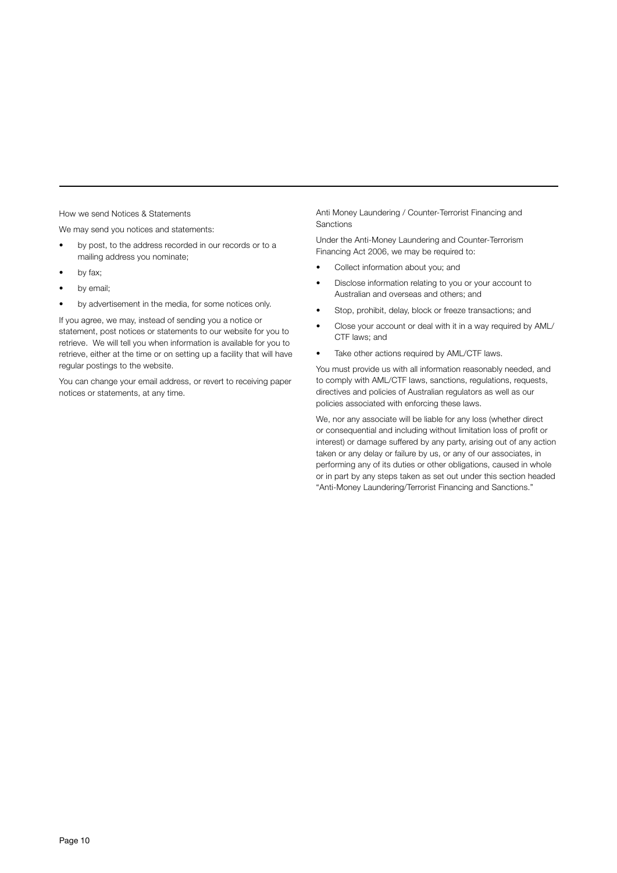How we send Notices & Statements

We may send you notices and statements:

- by post, to the address recorded in our records or to a mailing address you nominate;
- by fax;
- by email;
- by advertisement in the media, for some notices only.

If you agree, we may, instead of sending you a notice or statement, post notices or statements to our website for you to retrieve. We will tell you when information is available for you to retrieve, either at the time or on setting up a facility that will have regular postings to the website.

You can change your email address, or revert to receiving paper notices or statements, at any time.

Anti Money Laundering / Counter-Terrorist Financing and Sanctions

Under the Anti-Money Laundering and Counter-Terrorism Financing Act 2006, we may be required to:

- Collect information about you; and
- Disclose information relating to you or your account to Australian and overseas and others; and
- Stop, prohibit, delay, block or freeze transactions; and
- Close your account or deal with it in a way required by AML/ CTF laws; and
- Take other actions required by AML/CTF laws.

You must provide us with all information reasonably needed, and to comply with AML/CTF laws, sanctions, regulations, requests, directives and policies of Australian regulators as well as our policies associated with enforcing these laws.

We, nor any associate will be liable for any loss (whether direct or consequential and including without limitation loss of profit or interest) or damage suffered by any party, arising out of any action taken or any delay or failure by us, or any of our associates, in performing any of its duties or other obligations, caused in whole or in part by any steps taken as set out under this section headed "Anti-Money Laundering/Terrorist Financing and Sanctions."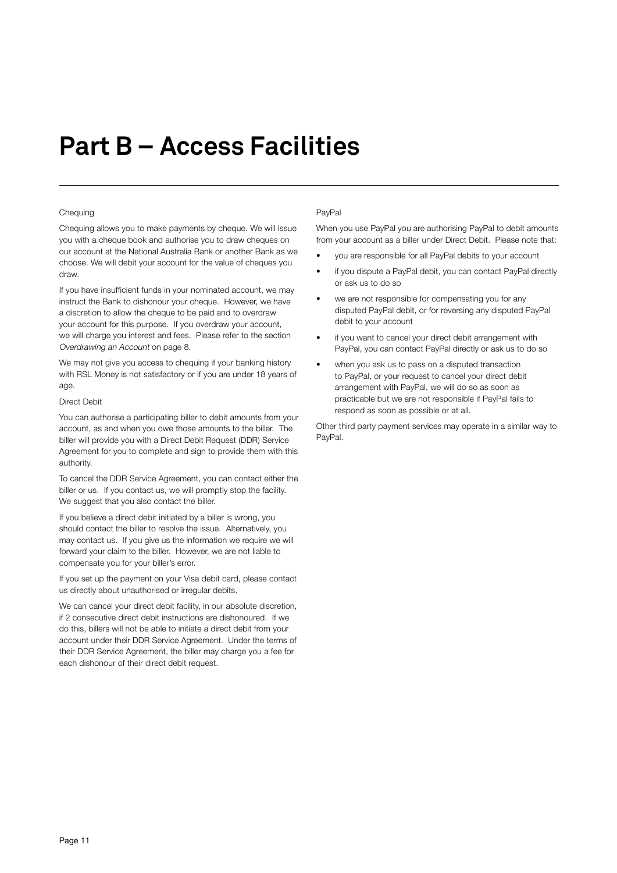# **Part B – Access Facilities**

#### **Chequing**

Chequing allows you to make payments by cheque. We will issue you with a cheque book and authorise you to draw cheques on our account at the National Australia Bank or another Bank as we choose. We will debit your account for the value of cheques you draw.

If you have insufficient funds in your nominated account, we may instruct the Bank to dishonour your cheque. However, we have a discretion to allow the cheque to be paid and to overdraw your account for this purpose. If you overdraw your account, we will charge you interest and fees. Please refer to the section Overdrawing an Account on page 8.

We may not give you access to chequing if your banking history with RSL Money is not satisfactory or if you are under 18 years of age.

#### Direct Debit

You can authorise a participating biller to debit amounts from your account, as and when you owe those amounts to the biller. The biller will provide you with a Direct Debit Request (DDR) Service Agreement for you to complete and sign to provide them with this authority.

To cancel the DDR Service Agreement, you can contact either the biller or us. If you contact us, we will promptly stop the facility. We suggest that you also contact the biller.

If you believe a direct debit initiated by a biller is wrong, you should contact the biller to resolve the issue. Alternatively, you may contact us. If you give us the information we require we will forward your claim to the biller. However, we are not liable to compensate you for your biller's error.

If you set up the payment on your Visa debit card, please contact us directly about unauthorised or irregular debits.

We can cancel your direct debit facility, in our absolute discretion, if 2 consecutive direct debit instructions are dishonoured. If we do this, billers will not be able to initiate a direct debit from your account under their DDR Service Agreement. Under the terms of their DDR Service Agreement, the biller may charge you a fee for each dishonour of their direct debit request.

#### PayPal

When you use PayPal you are authorising PayPal to debit amounts from your account as a biller under Direct Debit. Please note that:

- you are responsible for all PayPal debits to your account
- if you dispute a PayPal debit, you can contact PayPal directly or ask us to do so
- we are not responsible for compensating you for any disputed PayPal debit, or for reversing any disputed PayPal debit to your account
- if you want to cancel your direct debit arrangement with PayPal, you can contact PayPal directly or ask us to do so
- when you ask us to pass on a disputed transaction to PayPal, or your request to cancel your direct debit arrangement with PayPal, we will do so as soon as practicable but we are not responsible if PayPal fails to respond as soon as possible or at all.

Other third party payment services may operate in a similar way to PayPal.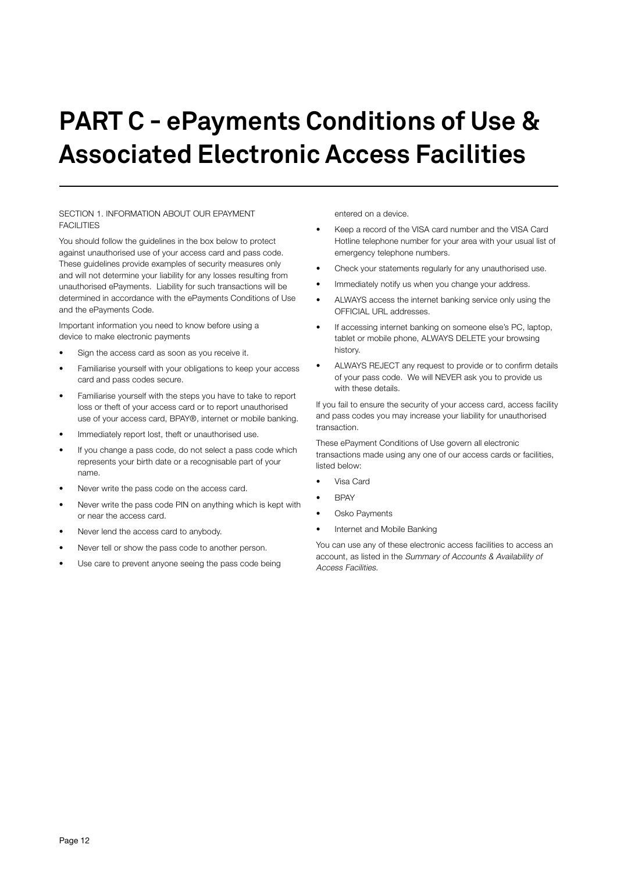# **PART C - ePayments Conditions of Use & Associated Electronic Access Facilities**

#### SECTION 1. INFORMATION ABOUT OUR EPAYMENT FACILITIES

You should follow the guidelines in the box below to protect against unauthorised use of your access card and pass code. These guidelines provide examples of security measures only and will not determine your liability for any losses resulting from unauthorised ePayments. Liability for such transactions will be determined in accordance with the ePayments Conditions of Use and the ePayments Code.

Important information you need to know before using a device to make electronic payments

- Sign the access card as soon as you receive it.
- Familiarise yourself with your obligations to keep your access card and pass codes secure.
- Familiarise yourself with the steps you have to take to report loss or theft of your access card or to report unauthorised use of your access card, BPAY®, internet or mobile banking.
- Immediately report lost, theft or unauthorised use.
- If you change a pass code, do not select a pass code which represents your birth date or a recognisable part of your name.
- Never write the pass code on the access card.
- Never write the pass code PIN on anything which is kept with or near the access card.
- Never lend the access card to anybody.
- Never tell or show the pass code to another person.
- Use care to prevent anyone seeing the pass code being

entered on a device.

- Keep a record of the VISA card number and the VISA Card Hotline telephone number for your area with your usual list of emergency telephone numbers.
- Check your statements regularly for any unauthorised use.
- Immediately notify us when you change your address.
- ALWAYS access the internet banking service only using the OFFICIAL URL addresses.
- If accessing internet banking on someone else's PC, laptop, tablet or mobile phone, ALWAYS DELETE your browsing history.
- ALWAYS REJECT any request to provide or to confirm details of your pass code. We will NEVER ask you to provide us with these details.

If you fail to ensure the security of your access card, access facility and pass codes you may increase your liability for unauthorised transaction.

These ePayment Conditions of Use govern all electronic transactions made using any one of our access cards or facilities, listed below:

- Visa Card
- BPAY
- Osko Payments
- Internet and Mobile Banking

You can use any of these electronic access facilities to access an account, as listed in the Summary of Accounts & Availability of Access Facilities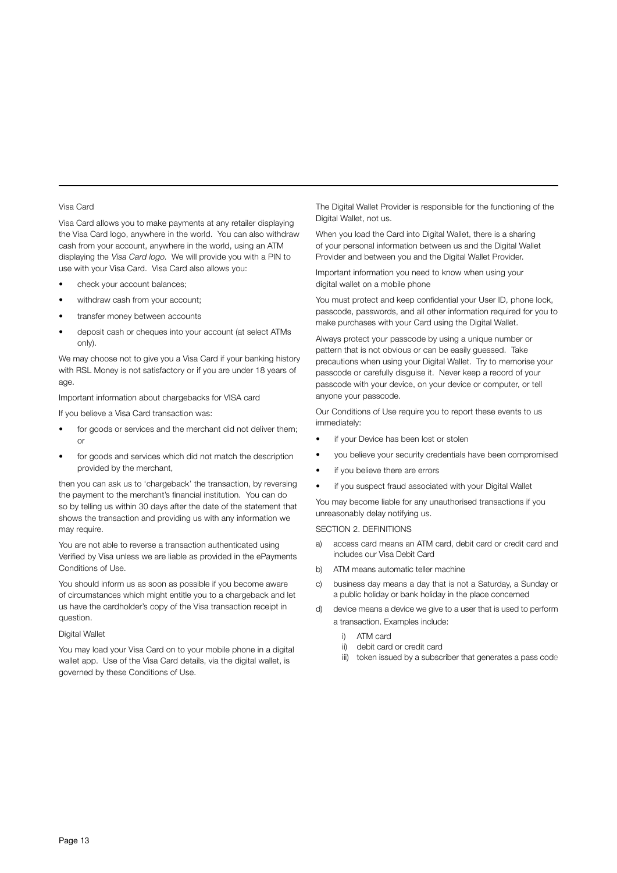#### Visa Card

Visa Card allows you to make payments at any retailer displaying the Visa Card logo, anywhere in the world. You can also withdraw cash from your account, anywhere in the world, using an ATM displaying the Visa Card logo. We will provide you with a PIN to use with your Visa Card. Visa Card also allows you:

- check your account balances;
- withdraw cash from your account;
- transfer money between accounts
- deposit cash or cheques into your account (at select ATMs only).

We may choose not to give you a Visa Card if your banking history with RSL Money is not satisfactory or if you are under 18 years of age.

Important information about chargebacks for VISA card

If you believe a Visa Card transaction was:

- for goods or services and the merchant did not deliver them; or
- for goods and services which did not match the description provided by the merchant,

then you can ask us to 'chargeback' the transaction, by reversing the payment to the merchant's financial institution. You can do so by telling us within 30 days after the date of the statement that shows the transaction and providing us with any information we may require.

You are not able to reverse a transaction authenticated using Verified by Visa unless we are liable as provided in the ePayments Conditions of Use.

You should inform us as soon as possible if you become aware of circumstances which might entitle you to a chargeback and let us have the cardholder's copy of the Visa transaction receipt in question.

Digital Wallet

You may load your Visa Card on to your mobile phone in a digital wallet app. Use of the Visa Card details, via the digital wallet, is governed by these Conditions of Use.

The Digital Wallet Provider is responsible for the functioning of the Digital Wallet, not us.

When you load the Card into Digital Wallet, there is a sharing of your personal information between us and the Digital Wallet Provider and between you and the Digital Wallet Provider.

Important information you need to know when using your digital wallet on a mobile phone

You must protect and keep confidential your User ID, phone lock, passcode, passwords, and all other information required for you to make purchases with your Card using the Digital Wallet.

Always protect your passcode by using a unique number or pattern that is not obvious or can be easily guessed. Take precautions when using your Digital Wallet. Try to memorise your passcode or carefully disguise it. Never keep a record of your passcode with your device, on your device or computer, or tell anyone your passcode.

Our Conditions of Use require you to report these events to us immediately:

- if your Device has been lost or stolen
- you believe your security credentials have been compromised
- if you believe there are errors
- if you suspect fraud associated with your Digital Wallet

You may become liable for any unauthorised transactions if you unreasonably delay notifying us.

#### SECTION 2. DEFINITIONS

- a) access card means an ATM card, debit card or credit card and includes our Visa Debit Card
- b) ATM means automatic teller machine
- c) business day means a day that is not a Saturday, a Sunday or a public holiday or bank holiday in the place concerned
- d) device means a device we give to a user that is used to perform a transaction. Examples include:
	- i) ATM card
	- ii) debit card or credit card
	- iii) token issued by a subscriber that generates a pass code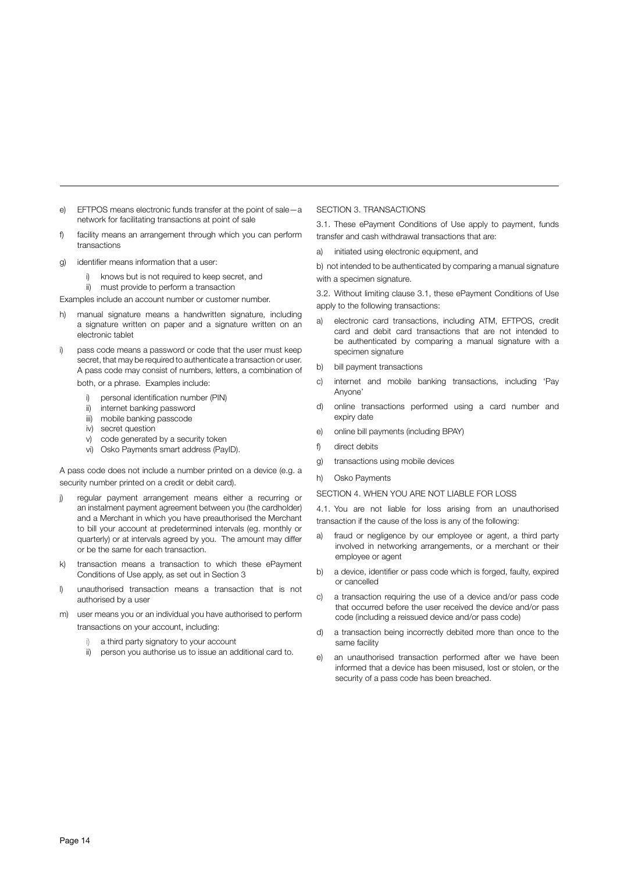- e) EFTPOS means electronic funds transfer at the point of sale—a network for facilitating transactions at point of sale
- f) facility means an arrangement through which you can perform transactions
- g) identifier means information that a user:
	- i) knows but is not required to keep secret, and
	- ii) must provide to perform a transaction

Examples include an account number or customer number.

- h) manual signature means a handwritten signature, including a signature written on paper and a signature written on an electronic tablet
- i) pass code means a password or code that the user must keep secret, that may be required to authenticate a transaction or user. A pass code may consist of numbers, letters, a combination of both, or a phrase. Examples include:
	- i) personal identification number (PIN)
	- ii) internet banking password
	- iii) mobile banking passcode
	- iv) secret question
	- v) code generated by a security token
	- vi) Osko Payments smart address (PayID).

A pass code does not include a number printed on a device (e.g. a security number printed on a credit or debit card).

- j) regular payment arrangement means either a recurring or an instalment payment agreement between you (the cardholder) and a Merchant in which you have preauthorised the Merchant to bill your account at predetermined intervals (eg. monthly or quarterly) or at intervals agreed by you. The amount may differ or be the same for each transaction.
- transaction means a transaction to which these ePayment Conditions of Use apply, as set out in Section 3
- l) unauthorised transaction means a transaction that is not authorised by a user
- m) user means you or an individual you have authorised to perform transactions on your account, including:
	- i) a third party signatory to your account
	- ii) person you authorise us to issue an additional card to.

#### SECTION 3. TRANSACTIONS

3.1. These ePayment Conditions of Use apply to payment, funds transfer and cash withdrawal transactions that are:

a) initiated using electronic equipment, and

b) not intended to be authenticated by comparing a manual signature with a specimen signature.

3.2. Without limiting clause 3.1, these ePayment Conditions of Use apply to the following transactions:

- a) electronic card transactions, including ATM, EFTPOS, credit card and debit card transactions that are not intended to be authenticated by comparing a manual signature with a specimen signature
- b) bill payment transactions
- c) internet and mobile banking transactions, including 'Pay Anyone'
- d) online transactions performed using a card number and expiry date
- e) online bill payments (including BPAY)
- f) direct debits
- g) transactions using mobile devices
- h) Osko Payments

#### SECTION 4. WHEN YOU ARE NOT LIABLE FOR LOSS

4.1. You are not liable for loss arising from an unauthorised transaction if the cause of the loss is any of the following:

- a) fraud or negligence by our employee or agent, a third party involved in networking arrangements, or a merchant or their employee or agent
- b) a device, identifier or pass code which is forged, faulty, expired or cancelled
- c) a transaction requiring the use of a device and/or pass code that occurred before the user received the device and/or pass code (including a reissued device and/or pass code)
- d) a transaction being incorrectly debited more than once to the same facility
- an unauthorised transaction performed after we have been informed that a device has been misused, lost or stolen, or the security of a pass code has been breached.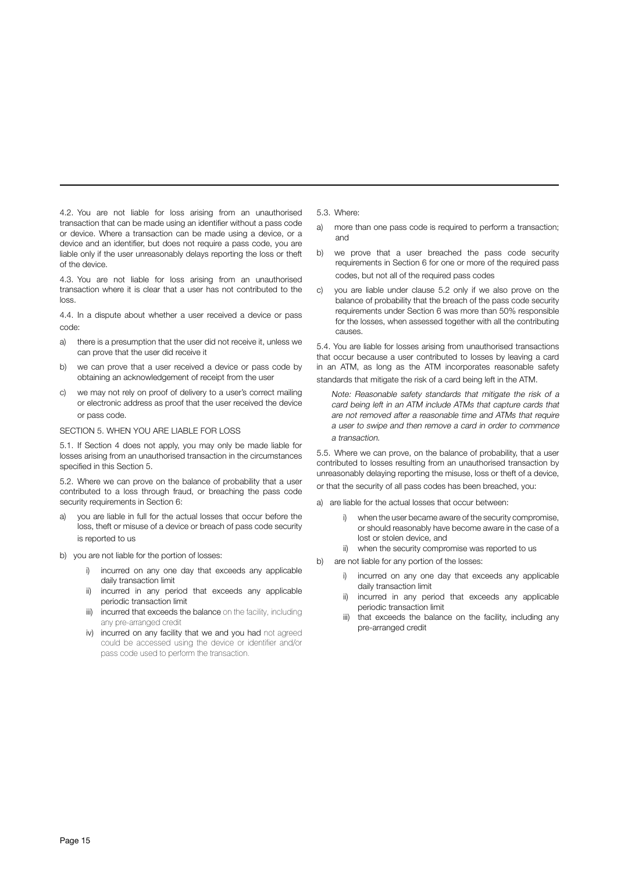4.2. You are not liable for loss arising from an unauthorised transaction that can be made using an identifier without a pass code or device. Where a transaction can be made using a device, or a device and an identifier, but does not require a pass code, you are liable only if the user unreasonably delays reporting the loss or theft of the device.

4.3. You are not liable for loss arising from an unauthorised transaction where it is clear that a user has not contributed to the loss.

4.4. In a dispute about whether a user received a device or pass code:

- a) there is a presumption that the user did not receive it, unless we can prove that the user did receive it
- b) we can prove that a user received a device or pass code by obtaining an acknowledgement of receipt from the user
- c) we may not rely on proof of delivery to a user's correct mailing or electronic address as proof that the user received the device or pass code.

#### SECTION 5. WHEN YOU ARE LIABLE FOR LOSS

5.1. If Section 4 does not apply, you may only be made liable for losses arising from an unauthorised transaction in the circumstances specified in this Section 5.

5.2. Where we can prove on the balance of probability that a user contributed to a loss through fraud, or breaching the pass code security requirements in Section 6:

- a) you are liable in full for the actual losses that occur before the loss, theft or misuse of a device or breach of pass code security is reported to us
- b) you are not liable for the portion of losses:
	- i) incurred on any one day that exceeds any applicable daily transaction limit
	- ii) incurred in any period that exceeds any applicable periodic transaction limit
	- iii) incurred that exceeds the balance on the facility, including any pre-arranged credit
	- iv) incurred on any facility that we and you had not agreed could be accessed using the device or identifier and/or pass code used to perform the transaction.
- 5.3. Where:
- a) more than one pass code is required to perform a transaction: and
- b) we prove that a user breached the pass code security requirements in Section 6 for one or more of the required pass codes, but not all of the required pass codes
- c) you are liable under clause 5.2 only if we also prove on the balance of probability that the breach of the pass code security requirements under Section 6 was more than 50% responsible for the losses, when assessed together with all the contributing causes.

5.4. You are liable for losses arising from unauthorised transactions that occur because a user contributed to losses by leaving a card in an ATM, as long as the ATM incorporates reasonable safety standards that mitigate the risk of a card being left in the ATM.

Note: Reasonable safety standards that mitigate the risk of a card being left in an ATM include ATMs that capture cards that are not removed after a reasonable time and ATMs that require a user to swipe and then remove a card in order to commence a transaction.

5.5. Where we can prove, on the balance of probability, that a user contributed to losses resulting from an unauthorised transaction by unreasonably delaying reporting the misuse, loss or theft of a device, or that the security of all pass codes has been breached, you:

- a) are liable for the actual losses that occur between:
	- when the user became aware of the security compromise, or should reasonably have become aware in the case of a lost or stolen device, and
	- ii) when the security compromise was reported to us
- b) are not liable for any portion of the losses:
	- i) incurred on any one day that exceeds any applicable daily transaction limit
	- incurred in any period that exceeds any applicable periodic transaction limit
	- iii) that exceeds the balance on the facility, including any pre-arranged credit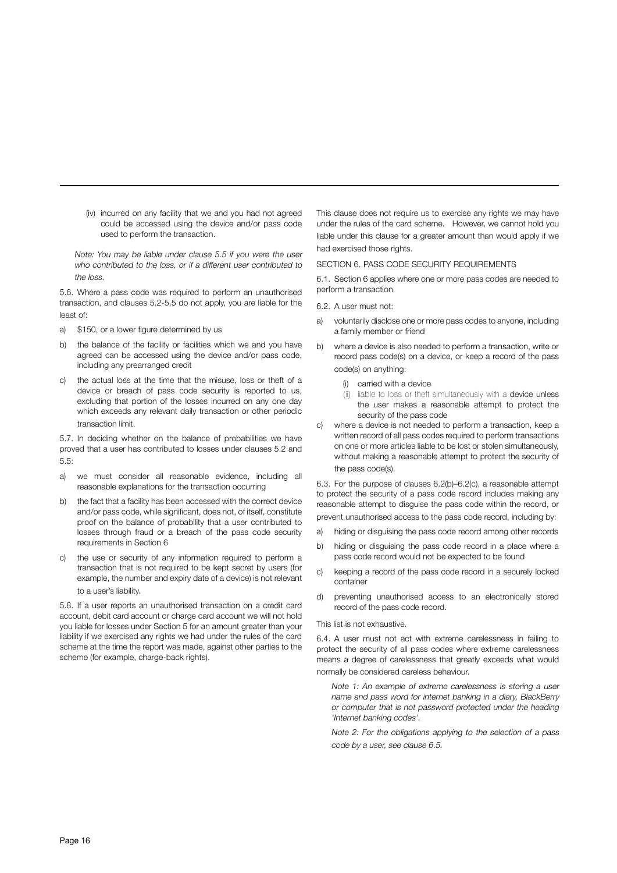(iv) incurred on any facility that we and you had not agreed could be accessed using the device and/or pass code used to perform the transaction.

Note: You may be liable under clause 5.5 if you were the user who contributed to the loss, or if a different user contributed to the loss.

5.6. Where a pass code was required to perform an unauthorised transaction, and clauses 5.2-5.5 do not apply, you are liable for the least of:

- a) \$150, or a lower figure determined by us
- b) the balance of the facility or facilities which we and you have agreed can be accessed using the device and/or pass code, including any prearranged credit
- c) the actual loss at the time that the misuse, loss or theft of a device or breach of pass code security is reported to us, excluding that portion of the losses incurred on any one day which exceeds any relevant daily transaction or other periodic transaction limit.

5.7. In deciding whether on the balance of probabilities we have proved that a user has contributed to losses under clauses 5.2 and 5.5:

- a) we must consider all reasonable evidence, including all reasonable explanations for the transaction occurring
- b) the fact that a facility has been accessed with the correct device and/or pass code, while significant, does not, of itself, constitute proof on the balance of probability that a user contributed to losses through fraud or a breach of the pass code security requirements in Section 6
- c) the use or security of any information required to perform a transaction that is not required to be kept secret by users (for example, the number and expiry date of a device) is not relevant to a user's liability.

5.8. If a user reports an unauthorised transaction on a credit card account, debit card account or charge card account we will not hold you liable for losses under Section 5 for an amount greater than your liability if we exercised any rights we had under the rules of the card scheme at the time the report was made, against other parties to the scheme (for example, charge-back rights).

This clause does not require us to exercise any rights we may have under the rules of the card scheme. However, we cannot hold you liable under this clause for a greater amount than would apply if we had exercised those rights.

#### SECTION 6. PASS CODE SECURITY REQUIREMENTS

6.1. Section 6 applies where one or more pass codes are needed to perform a transaction.

6.2. A user must not:

- a) voluntarily disclose one or more pass codes to anyone, including a family member or friend
- b) where a device is also needed to perform a transaction, write or record pass code(s) on a device, or keep a record of the pass code(s) on anything:
	- (i) carried with a device
	- (ii) liable to loss or theft simultaneously with a device unless the user makes a reasonable attempt to protect the security of the pass code
- c) where a device is not needed to perform a transaction, keep a written record of all pass codes required to perform transactions on one or more articles liable to be lost or stolen simultaneously, without making a reasonable attempt to protect the security of the pass code(s).

6.3. For the purpose of clauses 6.2(b)–6.2(c), a reasonable attempt to protect the security of a pass code record includes making any reasonable attempt to disguise the pass code within the record, or prevent unauthorised access to the pass code record, including by:

- a) hiding or disguising the pass code record among other records
- b) hiding or disguising the pass code record in a place where a pass code record would not be expected to be found
- c) keeping a record of the pass code record in a securely locked container
- d) preventing unauthorised access to an electronically stored record of the pass code record.

#### This list is not exhaustive.

6.4. A user must not act with extreme carelessness in failing to protect the security of all pass codes where extreme carelessness means a degree of carelessness that greatly exceeds what would normally be considered careless behaviour.

Note 1: An example of extreme carelessness is storing a user name and pass word for internet banking in a diary, BlackBerry or computer that is not password protected under the heading 'Internet banking codes'.

Note 2: For the obligations applying to the selection of a pass code by a user, see clause 6.5.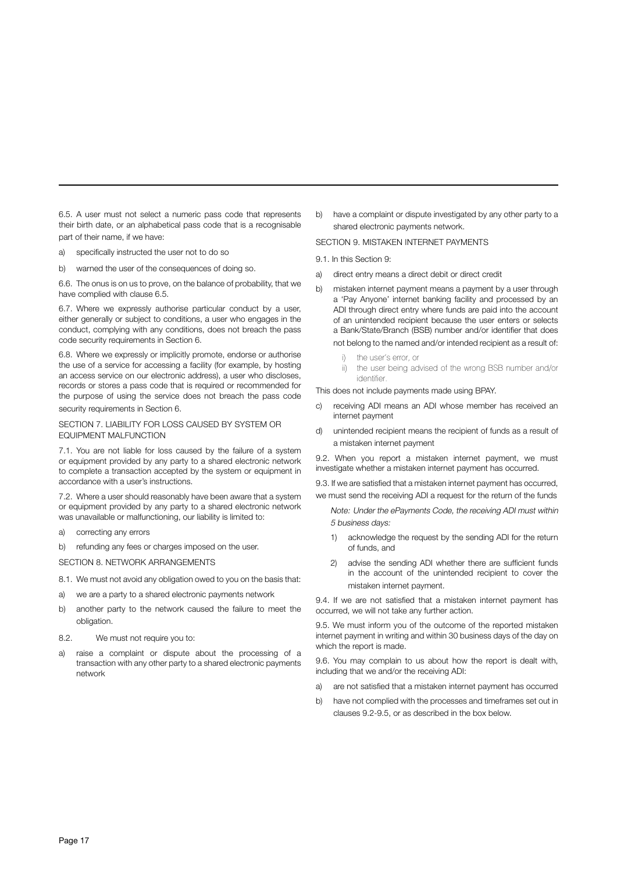6.5. A user must not select a numeric pass code that represents their birth date, or an alphabetical pass code that is a recognisable part of their name, if we have:

- a) specifically instructed the user not to do so
- b) warned the user of the consequences of doing so.

6.6. The onus is on us to prove, on the balance of probability, that we have complied with clause 6.5.

6.7. Where we expressly authorise particular conduct by a user, either generally or subject to conditions, a user who engages in the conduct, complying with any conditions, does not breach the pass code security requirements in Section 6.

6.8. Where we expressly or implicitly promote, endorse or authorise the use of a service for accessing a facility (for example, by hosting an access service on our electronic address), a user who discloses, records or stores a pass code that is required or recommended for the purpose of using the service does not breach the pass code security requirements in Section 6.

#### SECTION 7. LIABILITY FOR LOSS CAUSED BY SYSTEM OR EQUIPMENT MALFUNCTION

7.1. You are not liable for loss caused by the failure of a system or equipment provided by any party to a shared electronic network to complete a transaction accepted by the system or equipment in accordance with a user's instructions.

7.2. Where a user should reasonably have been aware that a system or equipment provided by any party to a shared electronic network was unavailable or malfunctioning, our liability is limited to:

- a) correcting any errors
- b) refunding any fees or charges imposed on the user.
- SECTION 8. NETWORK ARRANGEMENTS
- 8.1. We must not avoid any obligation owed to you on the basis that:
- a) we are a party to a shared electronic payments network
- b) another party to the network caused the failure to meet the obligation.
- 8.2. We must not require you to:
- a) raise a complaint or dispute about the processing of a transaction with any other party to a shared electronic payments network

b) have a complaint or dispute investigated by any other party to a shared electronic payments network.

#### SECTION 9. MISTAKEN INTERNET PAYMENTS

9.1. In this Section 9:

- a) direct entry means a direct debit or direct credit
- b) mistaken internet payment means a payment by a user through a 'Pay Anyone' internet banking facility and processed by an ADI through direct entry where funds are paid into the account of an unintended recipient because the user enters or selects a Bank/State/Branch (BSB) number and/or identifier that does not belong to the named and/or intended recipient as a result of:
	- i) the user's error, or
	- ii) the user being advised of the wrong BSB number and/or identifier.

This does not include payments made using BPAY.

- c) receiving ADI means an ADI whose member has received an internet payment
- d) unintended recipient means the recipient of funds as a result of a mistaken internet payment

9.2. When you report a mistaken internet payment, we must investigate whether a mistaken internet payment has occurred.

9.3. If we are satisfied that a mistaken internet payment has occurred, we must send the receiving ADI a request for the return of the funds

Note: Under the ePayments Code, the receiving ADI must within 5 business days:

- 1) acknowledge the request by the sending ADI for the return of funds, and
- 2) advise the sending ADI whether there are sufficient funds in the account of the unintended recipient to cover the mistaken internet payment.

9.4. If we are not satisfied that a mistaken internet payment has occurred, we will not take any further action.

9.5. We must inform you of the outcome of the reported mistaken internet payment in writing and within 30 business days of the day on which the report is made.

9.6. You may complain to us about how the report is dealt with, including that we and/or the receiving ADI:

- a) are not satisfied that a mistaken internet payment has occurred
- b) have not complied with the processes and timeframes set out in clauses 9.2-9.5, or as described in the box below.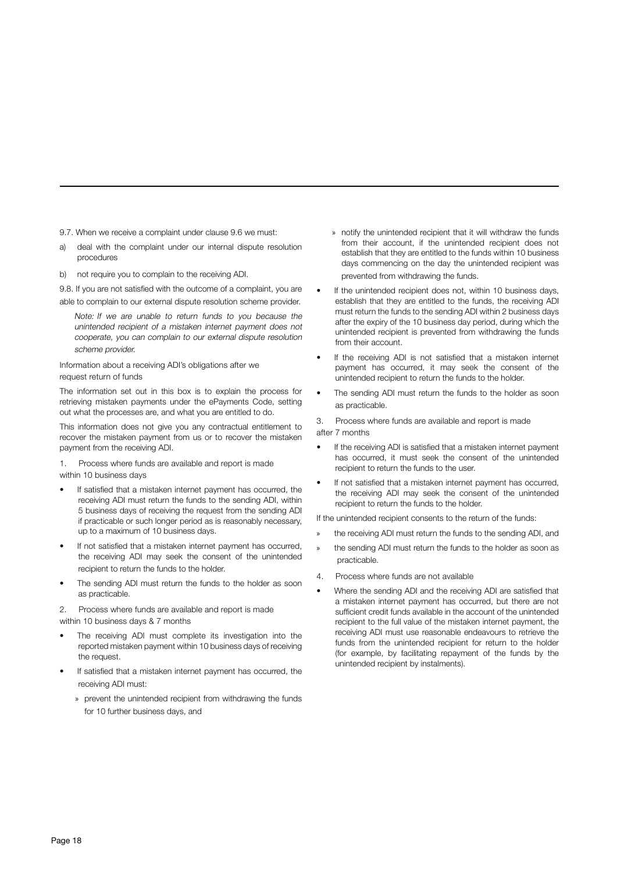9.7. When we receive a complaint under clause 9.6 we must:

- a) deal with the complaint under our internal dispute resolution procedures
- b) not require you to complain to the receiving ADI.

9.8. If you are not satisfied with the outcome of a complaint, you are able to complain to our external dispute resolution scheme provider.

Note: If we are unable to return funds to you because the unintended recipient of a mistaken internet payment does not cooperate, you can complain to our external dispute resolution scheme provider.

Information about a receiving ADI's obligations after we request return of funds

The information set out in this box is to explain the process for retrieving mistaken payments under the ePayments Code, setting out what the processes are, and what you are entitled to do.

This information does not give you any contractual entitlement to recover the mistaken payment from us or to recover the mistaken payment from the receiving ADI.

1. Process where funds are available and report is made within 10 business days

- If satisfied that a mistaken internet payment has occurred, the receiving ADI must return the funds to the sending ADI, within 5 business days of receiving the request from the sending ADI if practicable or such longer period as is reasonably necessary, up to a maximum of 10 business days.
- If not satisfied that a mistaken internet payment has occurred, the receiving ADI may seek the consent of the unintended recipient to return the funds to the holder.
- The sending ADI must return the funds to the holder as soon as practicable.

2. Process where funds are available and report is made within 10 business days & 7 months

- The receiving ADI must complete its investigation into the reported mistaken payment within 10 business days of receiving the request.
- If satisfied that a mistaken internet payment has occurred, the receiving ADI must:
	- » prevent the unintended recipient from withdrawing the funds for 10 further business days, and
- » notify the unintended recipient that it will withdraw the funds from their account, if the unintended recipient does not establish that they are entitled to the funds within 10 business days commencing on the day the unintended recipient was prevented from withdrawing the funds.
- If the unintended recipient does not, within 10 business days, establish that they are entitled to the funds, the receiving ADI must return the funds to the sending ADI within 2 business days after the expiry of the 10 business day period, during which the unintended recipient is prevented from withdrawing the funds from their account.
- If the receiving ADI is not satisfied that a mistaken internet payment has occurred, it may seek the consent of the unintended recipient to return the funds to the holder.
- The sending ADI must return the funds to the holder as soon as practicable.

3. Process where funds are available and report is made after 7 months

- If the receiving ADI is satisfied that a mistaken internet payment has occurred, it must seek the consent of the unintended recipient to return the funds to the user.
- If not satisfied that a mistaken internet payment has occurred, the receiving ADI may seek the consent of the unintended recipient to return the funds to the holder.

If the unintended recipient consents to the return of the funds:

- the receiving ADI must return the funds to the sending ADI, and
- the sending ADI must return the funds to the holder as soon as practicable.
- 4. Process where funds are not available
- Where the sending ADI and the receiving ADI are satisfied that a mistaken internet payment has occurred, but there are not sufficient credit funds available in the account of the unintended recipient to the full value of the mistaken internet payment, the receiving ADI must use reasonable endeavours to retrieve the funds from the unintended recipient for return to the holder (for example, by facilitating repayment of the funds by the unintended recipient by instalments).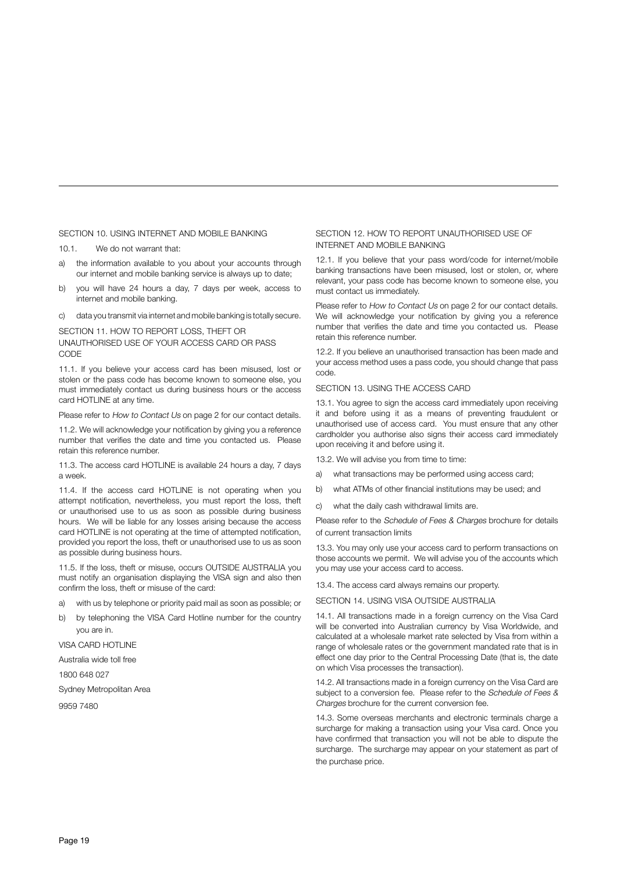#### SECTION 10. USING INTERNET AND MOBILE BANKING

10.1. We do not warrant that:

- a) the information available to you about your accounts through our internet and mobile banking service is always up to date;
- b) you will have 24 hours a day, 7 days per week, access to internet and mobile banking.
- c) data you transmit via internet and mobile banking is totally secure.

#### SECTION 11. HOW TO REPORT LOSS, THEFT OR UNAUTHORISED USE OF YOUR ACCESS CARD OR PASS CODE

11.1. If you believe your access card has been misused, lost or stolen or the pass code has become known to someone else, you must immediately contact us during business hours or the access card HOTLINE at any time.

Please refer to How to Contact Us on page 2 for our contact details.

11.2. We will acknowledge your notification by giving you a reference number that verifies the date and time you contacted us. Please retain this reference number.

11.3. The access card HOTLINE is available 24 hours a day, 7 days a week.

11.4. If the access card HOTLINE is not operating when you attempt notification, nevertheless, you must report the loss, theft or unauthorised use to us as soon as possible during business hours. We will be liable for any losses arising because the access card HOTLINE is not operating at the time of attempted notification, provided you report the loss, theft or unauthorised use to us as soon as possible during business hours.

11.5. If the loss, theft or misuse, occurs OUTSIDE AUSTRALIA you must notify an organisation displaying the VISA sign and also then confirm the loss, theft or misuse of the card:

- a) with us by telephone or priority paid mail as soon as possible; or
- b) by telephoning the VISA Card Hotline number for the country you are in.

VISA CARD HOTLINE

Australia wide toll free

1800 648 027

Sydney Metropolitan Area

9959 7480

#### SECTION 12. HOW TO REPORT UNAUTHORISED USE OF INTERNET AND MOBILE BANKING

12.1. If you believe that your pass word/code for internet/mobile banking transactions have been misused, lost or stolen, or, where relevant, your pass code has become known to someone else, you must contact us immediately.

Please refer to How to Contact Us on page 2 for our contact details. We will acknowledge your notification by giving you a reference number that verifies the date and time you contacted us. Please retain this reference number.

12.2. If you believe an unauthorised transaction has been made and your access method uses a pass code, you should change that pass code.

#### SECTION 13. USING THE ACCESS CARD

13.1. You agree to sign the access card immediately upon receiving it and before using it as a means of preventing fraudulent or unauthorised use of access card. You must ensure that any other cardholder you authorise also signs their access card immediately upon receiving it and before using it.

13.2. We will advise you from time to time:

- a) what transactions may be performed using access card;
- b) what ATMs of other financial institutions may be used; and
- c) what the daily cash withdrawal limits are.

Please refer to the Schedule of Fees & Charges brochure for details of current transaction limits

13.3. You may only use your access card to perform transactions on those accounts we permit. We will advise you of the accounts which you may use your access card to access.

13.4. The access card always remains our property.

SECTION 14. USING VISA OUTSIDE AUSTRALIA

14.1. All transactions made in a foreign currency on the Visa Card will be converted into Australian currency by Visa Worldwide, and calculated at a wholesale market rate selected by Visa from within a range of wholesale rates or the government mandated rate that is in effect one day prior to the Central Processing Date (that is, the date on which Visa processes the transaction).

14.2. All transactions made in a foreign currency on the Visa Card are subject to a conversion fee. Please refer to the Schedule of Fees & Charges brochure for the current conversion fee.

14.3. Some overseas merchants and electronic terminals charge a surcharge for making a transaction using your Visa card. Once you have confirmed that transaction you will not be able to dispute the surcharge. The surcharge may appear on your statement as part of the purchase price.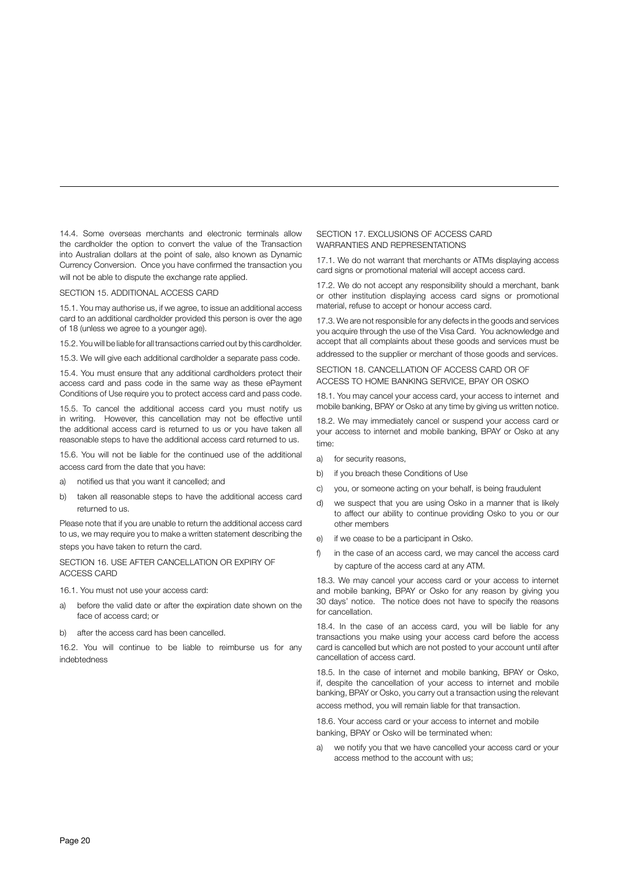14.4. Some overseas merchants and electronic terminals allow the cardholder the option to convert the value of the Transaction into Australian dollars at the point of sale, also known as Dynamic Currency Conversion. Once you have confirmed the transaction you will not be able to dispute the exchange rate applied.

#### SECTION 15. ADDITIONAL ACCESS CARD

15.1. You may authorise us, if we agree, to issue an additional access card to an additional cardholder provided this person is over the age of 18 (unless we agree to a younger age).

15.2. You will be liable for all transactions carried out by this cardholder.

15.3. We will give each additional cardholder a separate pass code.

15.4. You must ensure that any additional cardholders protect their access card and pass code in the same way as these ePayment Conditions of Use require you to protect access card and pass code.

15.5. To cancel the additional access card you must notify us in writing. However, this cancellation may not be effective until the additional access card is returned to us or you have taken all reasonable steps to have the additional access card returned to us.

15.6. You will not be liable for the continued use of the additional access card from the date that you have:

- a) notified us that you want it cancelled; and
- b) taken all reasonable steps to have the additional access card returned to us.

Please note that if you are unable to return the additional access card to us, we may require you to make a written statement describing the steps you have taken to return the card.

#### SECTION 16. USE AFTER CANCELLATION OR EXPIRY OF ACCESS CARD

16.1. You must not use your access card:

- a) before the valid date or after the expiration date shown on the face of access card; or
- b) after the access card has been cancelled.

16.2. You will continue to be liable to reimburse us for any indebtedness

#### SECTION 17. EXCLUSIONS OF ACCESS CARD WARRANTIES AND REPRESENTATIONS

17.1. We do not warrant that merchants or ATMs displaying access card signs or promotional material will accept access card.

17.2. We do not accept any responsibility should a merchant, bank or other institution displaying access card signs or promotional material, refuse to accept or honour access card.

17.3. We are not responsible for any defects in the goods and services you acquire through the use of the Visa Card. You acknowledge and accept that all complaints about these goods and services must be addressed to the supplier or merchant of those goods and services.

#### SECTION 18. CANCELLATION OF ACCESS CARD OR OF ACCESS TO HOME BANKING SERVICE, BPAY OR OSKO

18.1. You may cancel your access card, your access to internet and mobile banking, BPAY or Osko at any time by giving us written notice.

18.2. We may immediately cancel or suspend your access card or your access to internet and mobile banking, BPAY or Osko at any time:

- a) for security reasons,
- b) if you breach these Conditions of Use
- c) you, or someone acting on your behalf, is being fraudulent
- d) we suspect that you are using Osko in a manner that is likely to affect our ability to continue providing Osko to you or our other members
- e) if we cease to be a participant in Osko.
- f) in the case of an access card, we may cancel the access card by capture of the access card at any ATM.

18.3. We may cancel your access card or your access to internet and mobile banking, BPAY or Osko for any reason by giving you 30 days' notice. The notice does not have to specify the reasons for cancellation.

18.4. In the case of an access card, you will be liable for any transactions you make using your access card before the access card is cancelled but which are not posted to your account until after cancellation of access card.

18.5. In the case of internet and mobile banking, BPAY or Osko, if, despite the cancellation of your access to internet and mobile banking, BPAY or Osko, you carry out a transaction using the relevant access method, you will remain liable for that transaction.

18.6. Your access card or your access to internet and mobile banking, BPAY or Osko will be terminated when:

we notify you that we have cancelled your access card or your access method to the account with us;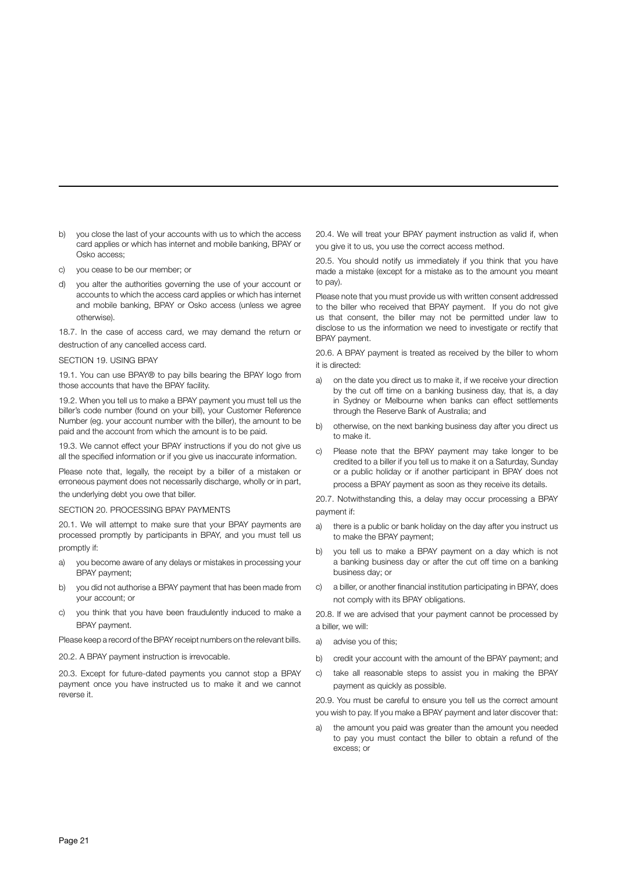- b) you close the last of your accounts with us to which the access card applies or which has internet and mobile banking, BPAY or Osko access;
- c) you cease to be our member; or
- d) you alter the authorities governing the use of your account or accounts to which the access card applies or which has internet and mobile banking, BPAY or Osko access (unless we agree otherwise).

18.7. In the case of access card, we may demand the return or destruction of any cancelled access card.

#### SECTION 19. USING BPAY

19.1. You can use BPAY® to pay bills bearing the BPAY logo from those accounts that have the BPAY facility.

19.2. When you tell us to make a BPAY payment you must tell us the biller's code number (found on your bill), your Customer Reference Number (eg. your account number with the biller), the amount to be paid and the account from which the amount is to be paid.

19.3. We cannot effect your BPAY instructions if you do not give us all the specified information or if you give us inaccurate information.

Please note that, legally, the receipt by a biller of a mistaken or erroneous payment does not necessarily discharge, wholly or in part, the underlying debt you owe that biller.

#### SECTION 20. PROCESSING BPAY PAYMENTS

20.1. We will attempt to make sure that your BPAY payments are processed promptly by participants in BPAY, and you must tell us promptly if:

- a) you become aware of any delays or mistakes in processing your BPAY payment;
- b) you did not authorise a BPAY payment that has been made from your account; or
- c) you think that you have been fraudulently induced to make a BPAY payment.

Please keep a record of the BPAY receipt numbers on the relevant bills.

20.2. A BPAY payment instruction is irrevocable.

20.3. Except for future-dated payments you cannot stop a BPAY payment once you have instructed us to make it and we cannot reverse it.

20.4. We will treat your BPAY payment instruction as valid if, when you give it to us, you use the correct access method.

20.5. You should notify us immediately if you think that you have made a mistake (except for a mistake as to the amount you meant to pay).

Please note that you must provide us with written consent addressed to the biller who received that BPAY payment. If you do not give us that consent, the biller may not be permitted under law to disclose to us the information we need to investigate or rectify that BPAY payment.

20.6. A BPAY payment is treated as received by the biller to whom it is directed:

- a) on the date you direct us to make it, if we receive your direction by the cut off time on a banking business day, that is, a day in Sydney or Melbourne when banks can effect settlements through the Reserve Bank of Australia; and
- b) otherwise, on the next banking business day after you direct us to make it.
- c) Please note that the BPAY payment may take longer to be credited to a biller if you tell us to make it on a Saturday, Sunday or a public holiday or if another participant in BPAY does not process a BPAY payment as soon as they receive its details.

20.7. Notwithstanding this, a delay may occur processing a BPAY payment if:

- a) there is a public or bank holiday on the day after you instruct us to make the BPAY payment;
- b) you tell us to make a BPAY payment on a day which is not a banking business day or after the cut off time on a banking business day; or
- c) a biller, or another financial institution participating in BPAY, does not comply with its BPAY obligations.

20.8. If we are advised that your payment cannot be processed by a biller, we will:

- a) advise you of this;
- b) credit your account with the amount of the BPAY payment; and
- c) take all reasonable steps to assist you in making the BPAY payment as quickly as possible.

20.9. You must be careful to ensure you tell us the correct amount you wish to pay. If you make a BPAY payment and later discover that:

a) the amount you paid was greater than the amount you needed to pay you must contact the biller to obtain a refund of the excess; or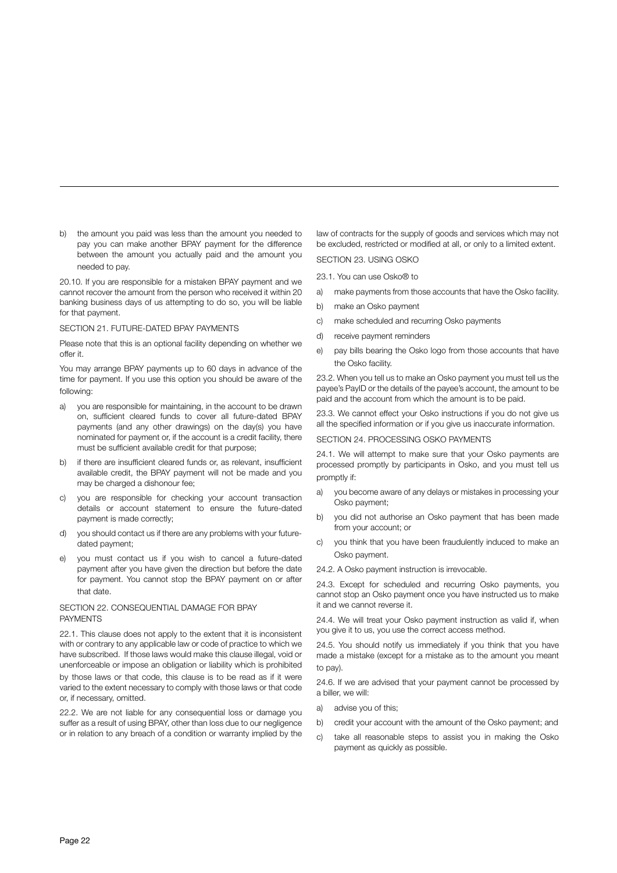b) the amount you paid was less than the amount you needed to pay you can make another BPAY payment for the difference between the amount you actually paid and the amount you needed to pay.

20.10. If you are responsible for a mistaken BPAY payment and we cannot recover the amount from the person who received it within 20 banking business days of us attempting to do so, you will be liable for that payment.

#### SECTION 21. FUTURE-DATED BPAY PAYMENTS

Please note that this is an optional facility depending on whether we offer it.

You may arrange BPAY payments up to 60 days in advance of the time for payment. If you use this option you should be aware of the following:

- a) you are responsible for maintaining, in the account to be drawn on, sufficient cleared funds to cover all future-dated BPAY payments (and any other drawings) on the day(s) you have nominated for payment or, if the account is a credit facility, there must be sufficient available credit for that purpose;
- b) if there are insufficient cleared funds or, as relevant, insufficient available credit, the BPAY payment will not be made and you may be charged a dishonour fee;
- c) you are responsible for checking your account transaction details or account statement to ensure the future-dated payment is made correctly;
- d) you should contact us if there are any problems with your futuredated payment;
- e) you must contact us if you wish to cancel a future-dated payment after you have given the direction but before the date for payment. You cannot stop the BPAY payment on or after that date.

#### SECTION 22. CONSEQUENTIAL DAMAGE FOR BPAY PAYMENTS

22.1. This clause does not apply to the extent that it is inconsistent with or contrary to any applicable law or code of practice to which we have subscribed. If those laws would make this clause illegal, void or unenforceable or impose an obligation or liability which is prohibited by those laws or that code, this clause is to be read as if it were varied to the extent necessary to comply with those laws or that code or, if necessary, omitted.

22.2. We are not liable for any consequential loss or damage you suffer as a result of using BPAY, other than loss due to our negligence or in relation to any breach of a condition or warranty implied by the law of contracts for the supply of goods and services which may not be excluded, restricted or modified at all, or only to a limited extent.

#### SECTION 23. USING OSKO

23.1. You can use Osko® to

- a) make payments from those accounts that have the Osko facility.
- b) make an Osko payment
- c) make scheduled and recurring Osko payments
- d) receive payment reminders
- e) pay bills bearing the Osko logo from those accounts that have the Osko facility.

23.2. When you tell us to make an Osko payment you must tell us the payee's PayID or the details of the payee's account, the amount to be paid and the account from which the amount is to be paid.

23.3. We cannot effect your Osko instructions if you do not give us all the specified information or if you give us inaccurate information.

#### SECTION 24. PROCESSING OSKO PAYMENTS

24.1. We will attempt to make sure that your Osko payments are processed promptly by participants in Osko, and you must tell us promptly if:

- a) you become aware of any delays or mistakes in processing your Osko payment;
- b) you did not authorise an Osko payment that has been made from your account; or
- c) you think that you have been fraudulently induced to make an Osko payment.

24.2. A Osko payment instruction is irrevocable.

24.3. Except for scheduled and recurring Osko payments, you cannot stop an Osko payment once you have instructed us to make it and we cannot reverse it.

24.4. We will treat your Osko payment instruction as valid if, when you give it to us, you use the correct access method.

24.5. You should notify us immediately if you think that you have made a mistake (except for a mistake as to the amount you meant to pay).

24.6. If we are advised that your payment cannot be processed by a biller, we will:

- a) advise you of this;
- b) credit your account with the amount of the Osko payment; and
- c) take all reasonable steps to assist you in making the Osko payment as quickly as possible.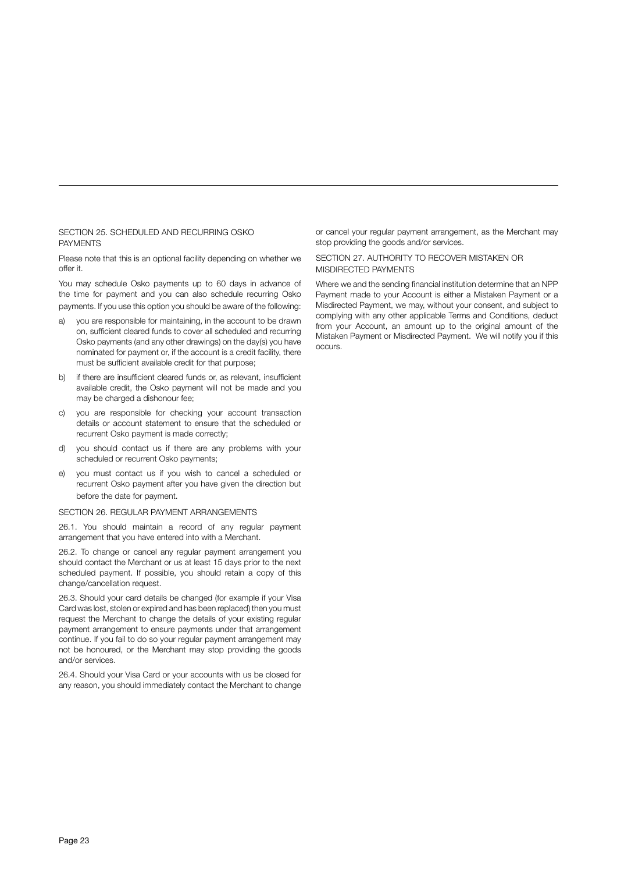#### SECTION 25. SCHEDULED AND RECURRING OSKO PAYMENTS

Please note that this is an optional facility depending on whether we offer it.

You may schedule Osko payments up to 60 days in advance of the time for payment and you can also schedule recurring Osko payments. If you use this option you should be aware of the following:

- a) you are responsible for maintaining, in the account to be drawn on, sufficient cleared funds to cover all scheduled and recurring Osko payments (and any other drawings) on the day(s) you have nominated for payment or, if the account is a credit facility, there must be sufficient available credit for that purpose;
- b) if there are insufficient cleared funds or, as relevant, insufficient available credit, the Osko payment will not be made and you may be charged a dishonour fee;
- c) you are responsible for checking your account transaction details or account statement to ensure that the scheduled or recurrent Osko payment is made correctly;
- d) you should contact us if there are any problems with your scheduled or recurrent Osko payments;
- e) you must contact us if you wish to cancel a scheduled or recurrent Osko payment after you have given the direction but before the date for payment.

#### SECTION 26. REGULAR PAYMENT ARRANGEMENTS

26.1. You should maintain a record of any regular payment arrangement that you have entered into with a Merchant.

26.2. To change or cancel any regular payment arrangement you should contact the Merchant or us at least 15 days prior to the next scheduled payment. If possible, you should retain a copy of this change/cancellation request.

26.3. Should your card details be changed (for example if your Visa Card was lost, stolen or expired and has been replaced) then you must request the Merchant to change the details of your existing regular payment arrangement to ensure payments under that arrangement continue. If you fail to do so your regular payment arrangement may not be honoured, or the Merchant may stop providing the goods and/or services.

26.4. Should your Visa Card or your accounts with us be closed for any reason, you should immediately contact the Merchant to change or cancel your regular payment arrangement, as the Merchant may stop providing the goods and/or services.

#### SECTION 27. AUTHORITY TO RECOVER MISTAKEN OR MISDIRECTED PAYMENTS

Where we and the sending financial institution determine that an NPP Payment made to your Account is either a Mistaken Payment or a Misdirected Payment, we may, without your consent, and subject to complying with any other applicable Terms and Conditions, deduct from your Account, an amount up to the original amount of the Mistaken Payment or Misdirected Payment. We will notify you if this occurs.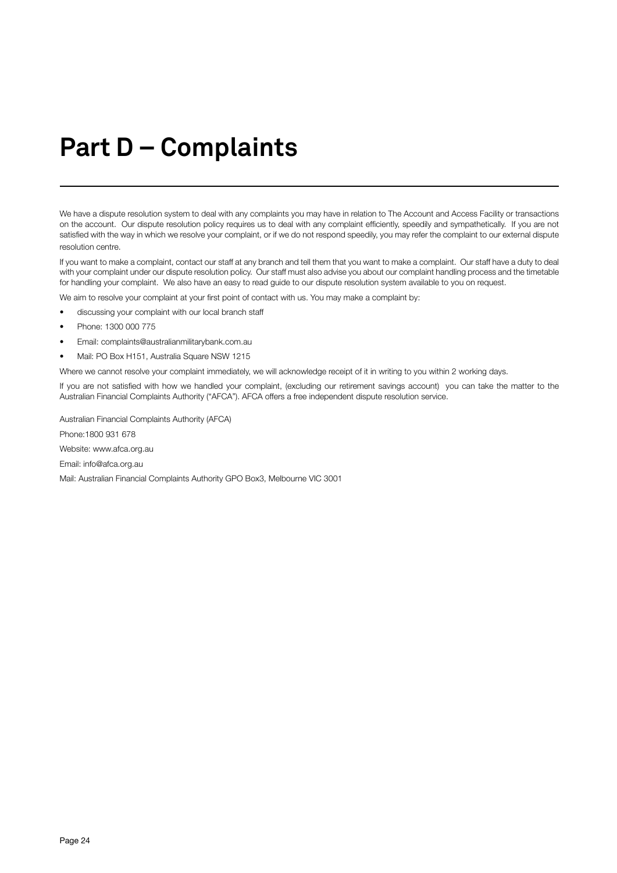# **Part D – Complaints**

We have a dispute resolution system to deal with any complaints you may have in relation to The Account and Access Facility or transactions on the account. Our dispute resolution policy requires us to deal with any complaint efficiently, speedily and sympathetically. If you are not satisfied with the way in which we resolve your complaint, or if we do not respond speedily, you may refer the complaint to our external dispute resolution centre.

If you want to make a complaint, contact our staff at any branch and tell them that you want to make a complaint. Our staff have a duty to deal with your complaint under our dispute resolution policy. Our staff must also advise you about our complaint handling process and the timetable for handling your complaint. We also have an easy to read guide to our dispute resolution system available to you on request.

We aim to resolve your complaint at your first point of contact with us. You may make a complaint by:

- discussing your complaint with our local branch staff
- Phone: 1300 000 775
- Email: complaints@australianmilitarybank.com.au
- Mail: PO Box H151, Australia Square NSW 1215

Where we cannot resolve your complaint immediately, we will acknowledge receipt of it in writing to you within 2 working days.

If you are not satisfied with how we handled your complaint, (excluding our retirement savings account) you can take the matter to the Australian Financial Complaints Authority ("AFCA"). AFCA offers a free independent dispute resolution service.

Australian Financial Complaints Authority (AFCA)

Phone:1800 931 678

Website: www.afca.org.au

Email: info@afca.org.au

Mail: Australian Financial Complaints Authority GPO Box3, Melbourne VIC 3001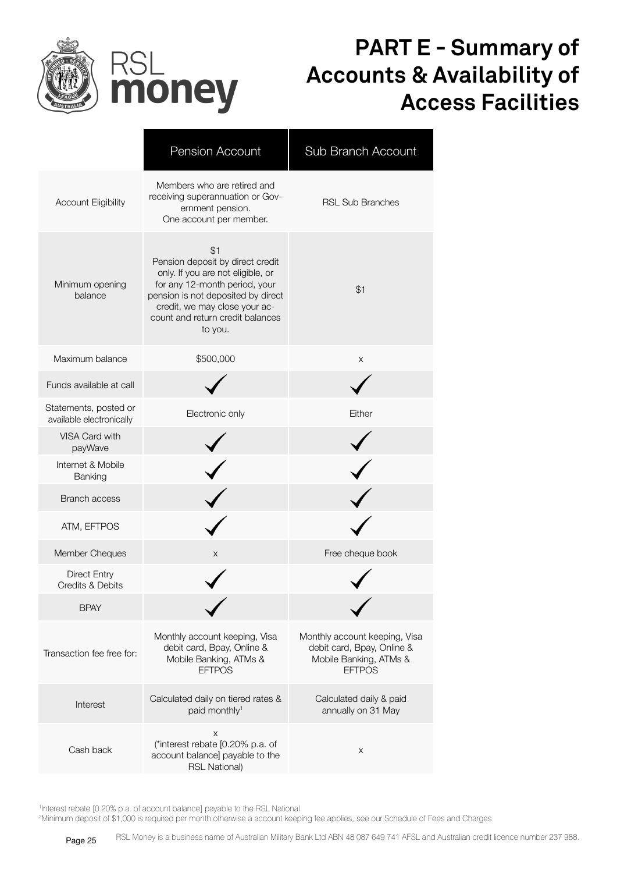

### **PART E - Summary of Accounts & Availability of Access Facilities**

|                                                    | <b>Pension Account</b>                                                                                                                                                                                                              | Sub Branch Account                                                                                     |
|----------------------------------------------------|-------------------------------------------------------------------------------------------------------------------------------------------------------------------------------------------------------------------------------------|--------------------------------------------------------------------------------------------------------|
| <b>Account Eligibility</b>                         | Members who are retired and<br>receiving superannuation or Gov-<br>ernment pension.<br>One account per member.                                                                                                                      | <b>RSL Sub Branches</b>                                                                                |
| Minimum opening<br>balance                         | \$1<br>Pension deposit by direct credit<br>only. If you are not eligible, or<br>for any 12-month period, your<br>pension is not deposited by direct<br>credit, we may close your ac-<br>count and return credit balances<br>to you. | \$1                                                                                                    |
| Maximum balance                                    | \$500,000                                                                                                                                                                                                                           | X                                                                                                      |
| Funds available at call                            |                                                                                                                                                                                                                                     |                                                                                                        |
| Statements, posted or<br>available electronically  | Electronic only                                                                                                                                                                                                                     | Either                                                                                                 |
| VISA Card with<br>payWave                          |                                                                                                                                                                                                                                     |                                                                                                        |
| Internet & Mobile<br>Banking                       |                                                                                                                                                                                                                                     |                                                                                                        |
| <b>Branch access</b>                               |                                                                                                                                                                                                                                     |                                                                                                        |
| ATM, EFTPOS                                        |                                                                                                                                                                                                                                     |                                                                                                        |
| Member Cheques                                     | X                                                                                                                                                                                                                                   | Free cheque book                                                                                       |
| <b>Direct Entry</b><br><b>Credits &amp; Debits</b> |                                                                                                                                                                                                                                     |                                                                                                        |
| <b>BPAY</b>                                        |                                                                                                                                                                                                                                     |                                                                                                        |
| Transaction fee free for:                          | Monthly account keeping, Visa<br>debit card, Bpay, Online &<br>Mobile Banking, ATMs &<br><b>EFTPOS</b>                                                                                                                              | Monthly account keeping, Visa<br>debit card, Bpay, Online &<br>Mobile Banking, ATMs &<br><b>EFTPOS</b> |
| Interest                                           | Calculated daily on tiered rates &<br>paid monthly <sup>1</sup>                                                                                                                                                                     | Calculated daily & paid<br>annually on 31 May                                                          |
| Cash back                                          | X<br>(*interest rebate [0.20% p.a. of<br>account balance] payable to the<br><b>RSL National)</b>                                                                                                                                    | X                                                                                                      |

1 Interest rebate [0.20% p.a. of account balance] payable to the RSL National

2 Minimum deposit of \$1,000 is required per month otherwise a account keeping fee applies, see our Schedule of Fees and Charges